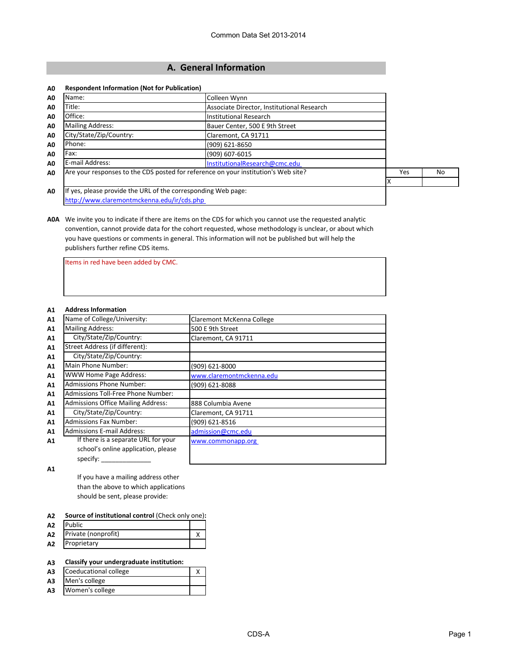# **A. General Information**

#### **A0 Respondent Information (Not for Publication)**

| A0             | Name:                                                                              | Colleen Wynn                               |     |    |
|----------------|------------------------------------------------------------------------------------|--------------------------------------------|-----|----|
| A <sub>0</sub> | Title:                                                                             | Associate Director, Institutional Research |     |    |
| A <sub>0</sub> | Office:                                                                            | Institutional Research                     |     |    |
| A <sub>0</sub> | <b>Mailing Address:</b>                                                            | Bauer Center, 500 E 9th Street             |     |    |
| A <sub>0</sub> | City/State/Zip/Country:                                                            | Claremont, CA 91711                        |     |    |
| A <sub>0</sub> | Phone:                                                                             | $(909)$ 621-8650                           |     |    |
| A0             | Fax:                                                                               | (909) 607-6015                             |     |    |
| A0             | E-mail Address:                                                                    | InstitutionalResearch@cmc.edu              |     |    |
| A <sub>0</sub> | Are your responses to the CDS posted for reference on your institution's Web site? |                                            | Yes | No |
|                |                                                                                    |                                            |     |    |
| A0             | If yes, please provide the URL of the corresponding Web page:                      |                                            |     |    |
|                | http://www.claremontmckenna.edu/ir/cds.php                                         |                                            |     |    |

**A0A** We invite you to indicate if there are items on the CDS for which you cannot use the requested analytic convention, cannot provide data for the cohort requested, whose methodology is unclear, or about which you have questions or comments in general. This information will not be published but will help the publishers further refine CDS items.

Items in red have been added by CMC.

#### **A1 Address Information**

| A1 | Name of College/University:               | Claremont McKenna College |
|----|-------------------------------------------|---------------------------|
| A1 | <b>Mailing Address:</b>                   | 500 E 9th Street          |
| A1 | City/State/Zip/Country:                   | Claremont, CA 91711       |
| A1 | Street Address (if different):            |                           |
| A1 | City/State/Zip/Country:                   |                           |
| A1 | Main Phone Number:                        | (909) 621-8000            |
| A1 | <b>WWW Home Page Address:</b>             | www.claremontmckenna.edu  |
| A1 | <b>Admissions Phone Number:</b>           | (909) 621-8088            |
| A1 | Admissions Toll-Free Phone Number:        |                           |
| A1 | <b>Admissions Office Mailing Address:</b> | 888 Columbia Avene        |
| A1 | City/State/Zip/Country:                   | Claremont, CA 91711       |
| A1 | <b>Admissions Fax Number:</b>             | (909) 621-8516            |
| A1 | <b>Admissions E-mail Address:</b>         | admission@cmc.edu         |
| A1 | If there is a separate URL for your       | www.commonapp.org         |
|    | school's online application, please       |                           |
|    | specify:                                  |                           |

**A1**

If you have a mailing address other than the above to which applications should be sent, please provide:

#### **A2 Source of institutional control** (Check only one)**:**

| A <sub>2</sub> | <b>Public</b>       |  |
|----------------|---------------------|--|
| A <sub>2</sub> | Private (nonprofit) |  |
| A2             | Proprietary         |  |

#### **A3 Classify your undergraduate institution:**

| A <sub>3</sub> | Coeducational college |  |
|----------------|-----------------------|--|
| A <sub>3</sub> | Men's college         |  |

**A3** Women's college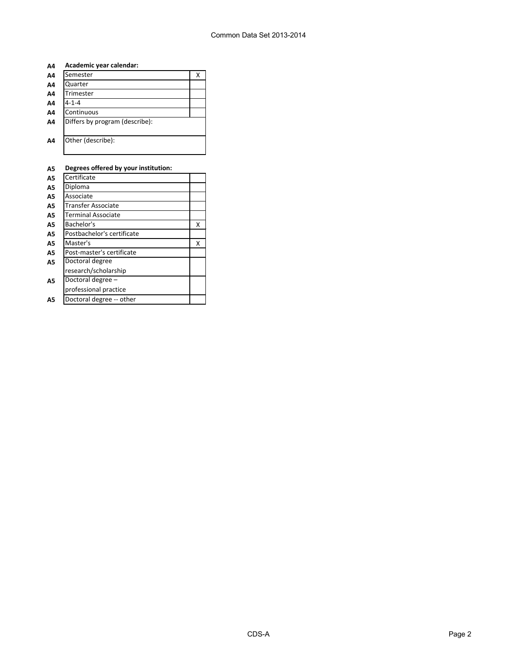| Academic year calendar:<br>A4 |  |
|-------------------------------|--|
|-------------------------------|--|

| A4             | Semester                       | х |
|----------------|--------------------------------|---|
| A4             | Quarter                        |   |
| A4             | Trimester                      |   |
| A4             | $4 - 1 - 4$                    |   |
| A4             | Continuous                     |   |
| A4             | Differs by program (describe): |   |
| A <sub>4</sub> | Other (describe):              |   |

# **A5 Degrees offered by your institution:**

| <b>A5</b> | Certificate                |   |
|-----------|----------------------------|---|
| A5        | Diploma                    |   |
| A5        | Associate                  |   |
| A5        | Transfer Associate         |   |
| А5        | <b>Terminal Associate</b>  |   |
| A5        | Bachelor's                 | x |
| A5        | Postbachelor's certificate |   |
| <b>A5</b> | Master's                   | Χ |
| A5        | Post-master's certificate  |   |
| <b>A5</b> | Doctoral degree            |   |
|           | research/scholarship       |   |
| А5        | Doctoral degree -          |   |
|           | professional practice      |   |
| Α5        | Doctoral degree -- other   |   |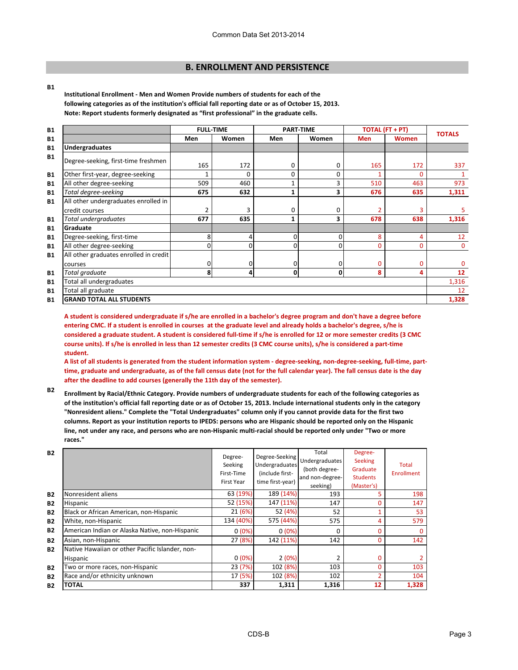# **B. ENROLLMENT AND PERSISTENCE**

#### **B1**

**Institutional Enrollment - Men and Women Provide numbers of students for each of the following categories as of the institution's official fall reporting date or as of October 15, 2013. Note: Report students formerly designated as "first professional" in the graduate cells.**

| <b>B1</b> |                                        |          | <b>FULL-TIME</b> | <b>PART-TIME</b> |          |            | <b>TOTAL (FT + PT)</b> | <b>TOTALS</b> |
|-----------|----------------------------------------|----------|------------------|------------------|----------|------------|------------------------|---------------|
| <b>B1</b> |                                        | Men      | <b>Women</b>     | <b>Men</b>       | Women    | <b>Men</b> | <b>Women</b>           |               |
| <b>B1</b> | <b>Undergraduates</b>                  |          |                  |                  |          |            |                        |               |
| <b>B1</b> | Degree-seeking, first-time freshmen    | 165      | 172              | 0                | 0        | 165        | 172                    | 337           |
| <b>B1</b> | Other first-year, degree-seeking       |          | $\Omega$         | 0                | 0        |            | 0                      |               |
| <b>B1</b> | All other degree-seeking               | 509      | 460              |                  | 3        | 510        | 463                    | 973           |
| <b>B1</b> | Total degree-seeking                   | 675      | 632              | 1                | 3        | 676        | 635                    | 1,311         |
| <b>B1</b> | All other undergraduates enrolled in   |          |                  |                  |          |            |                        |               |
|           | credit courses                         | 2        |                  | 0                | 0        |            | 3                      | 5             |
| <b>B1</b> | Total undergraduates                   | 677      | 635              | 1                | 3        | 678        | 638                    | 1,316         |
| <b>B1</b> | Graduate                               |          |                  |                  |          |            |                        |               |
| <b>B1</b> | Degree-seeking, first-time             | 8        |                  | 01               | 0        | 8          | 4                      | 12            |
| <b>B1</b> | All other degree-seeking               | $\Omega$ | 0                | ΟI               | $\Omega$ | 0          | $\Omega$               | $\mathbf{0}$  |
| <b>B1</b> | All other graduates enrolled in credit |          |                  |                  |          |            |                        |               |
|           | courses                                | $\Omega$ | 0                | 0                | 0        | $\Omega$   | 0                      | $\mathbf 0$   |
| <b>B1</b> | Total graduate                         | 8        | 4                | $\mathbf{0}$     | 0        | 8          | 4                      | 12            |
| <b>B1</b> | Total all undergraduates               |          |                  |                  |          |            |                        | 1,316         |
| <b>B1</b> | Total all graduate                     |          |                  |                  |          |            |                        | 12            |
| <b>B1</b> | <b>GRAND TOTAL ALL STUDENTS</b>        |          |                  |                  |          |            |                        | 1,328         |

**A student is considered undergraduate if s/he are enrolled in a bachelor's degree program and don't have a degree before entering CMC. If a student is enrolled in courses at the graduate level and already holds a bachelor's degree, s/he is considered a graduate student. A student is considered full-time if s/he is enrolled for 12 or more semester credits (3 CMC course units). If s/he is enrolled in less than 12 semester credits (3 CMC course units), s/he is considered a part-time student.**

**A list of all students is generated from the student information system - degree-seeking, non-degree-seeking, full-time, parttime, graduate and undergraduate, as of the fall census date (not for the full calendar year). The fall census date is the day after the deadline to add courses (generally the 11th day of the semester).** 

**B2 Enrollment by Racial/Ethnic Category. Provide numbers of undergraduate students for each of the following categories as of the institution's official fall reporting date or as of October 15, 2013. Include international students only in the category "Nonresident aliens." Complete the "Total Undergraduates" column only if you cannot provide data for the first two columns. Report as your institution reports to IPEDS: persons who are Hispanic should be reported only on the Hispanic line, not under any race, and persons who are non-Hispanic multi-racial should be reported only under "Two or more races."** 

| <b>B2</b> |                                                 | Degree-<br>Seeking<br>First-Time<br><b>First Year</b> | Degree-Seeking<br><b>Undergraduates</b><br>(include first-<br>time first-year) | Total<br>Undergraduates<br>(both degree-<br>and non-degree-<br>seeking) | Degree-<br><b>Seeking</b><br>Graduate<br><b>Students</b><br>(Master's) | Total<br><b>Enrollment</b> |
|-----------|-------------------------------------------------|-------------------------------------------------------|--------------------------------------------------------------------------------|-------------------------------------------------------------------------|------------------------------------------------------------------------|----------------------------|
| <b>B2</b> | Nonresident aliens                              | 63 (19%)                                              | 189 (14%)                                                                      | 193                                                                     | 5                                                                      | 198                        |
| <b>B2</b> | <b>Hispanic</b>                                 | 52 (15%)                                              | 147 (11%)                                                                      | 147                                                                     | 0                                                                      | 147                        |
| <b>B2</b> | Black or African American, non-Hispanic         | 21 (6%)                                               | 52 (4%)                                                                        | 52                                                                      |                                                                        | 53                         |
| <b>B2</b> | White, non-Hispanic                             | 134 (40%)                                             | 575 (44%)                                                                      | 575                                                                     | 4                                                                      | 579                        |
| <b>B2</b> | American Indian or Alaska Native, non-Hispanic  | $0(0\%)$                                              | $0(0\%)$                                                                       | $\Omega$                                                                | 0                                                                      | 0                          |
| <b>B2</b> | Asian, non-Hispanic                             | 27 (8%)                                               | 142 (11%)                                                                      | 142                                                                     | $\Omega$                                                               | 142                        |
| <b>B2</b> | Native Hawaiian or other Pacific Islander, non- |                                                       |                                                                                |                                                                         |                                                                        |                            |
|           | <b>Hispanic</b>                                 | $0(0\%)$                                              | 2(0%)                                                                          | 2                                                                       | 0                                                                      |                            |
| <b>B2</b> | Two or more races, non-Hispanic                 | 23 (7%)                                               | 102 (8%)                                                                       | 103                                                                     | 0                                                                      | 103                        |
| <b>B2</b> | Race and/or ethnicity unknown                   | 17 (5%)                                               | 102 (8%)                                                                       | 102                                                                     | 2                                                                      | 104                        |
| <b>B2</b> | <b>TOTAL</b>                                    | 337                                                   | 1,311                                                                          | 1,316                                                                   | 12                                                                     | 1,328                      |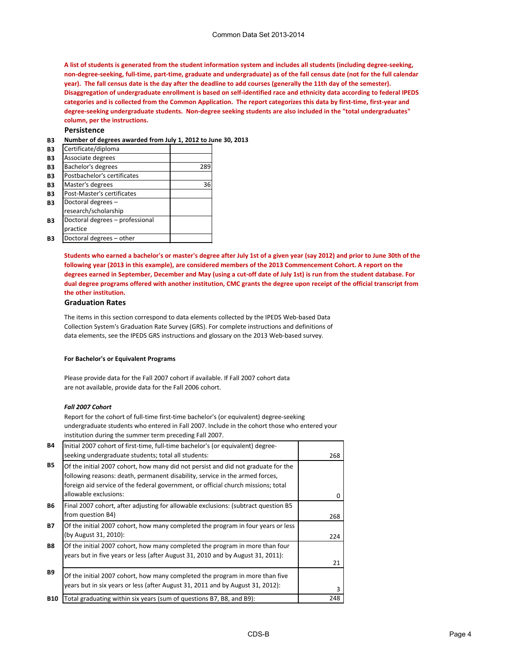#### Common Data Set 2013-2014

**A list of students is generated from the student information system and includes all students (including degree-seeking, non-degree-seeking, full-time, part-time, graduate and undergraduate) as of the fall census date (not for the full calendar year). The fall census date is the day after the deadline to add courses (generally the 11th day of the semester). Disaggregation of undergraduate enrollment is based on self-identified race and ethnicity data according to federal IPEDS categories and is collected from the Common Application. The report categorizes this data by first-time, first-year and degree-seeking undergraduate students. Non-degree seeking students are also included in the "total undergraduates" column, per the instructions.**

**Persistence**

**B3 Number of degrees awarded from July 1, 2012 to June 30, 2013**

| B3 | Certificate/diploma             |     |
|----|---------------------------------|-----|
| B3 | Associate degrees               |     |
| B3 | Bachelor's degrees              | 289 |
| B3 | Postbachelor's certificates     |     |
| B3 | Master's degrees                | 36  |
| B3 | Post-Master's certificates      |     |
| B3 | Doctoral degrees -              |     |
|    | research/scholarship            |     |
| B3 | Doctoral degrees - professional |     |
|    | practice                        |     |
| B3 | Doctoral degrees - other        |     |

**Students who earned a bachelor's or master's degree after July 1st of a given year (say 2012) and prior to June 30th of the following year (2013 in this example), are considered members of the 2013 Commencement Cohort. A report on the degrees earned in September, December and May (using a cut-off date of July 1st) is run from the student database. For dual degree programs offered with another institution, CMC grants the degree upon receipt of the official transcript from the other institution.** 

#### **Graduation Rates**

The items in this section correspond to data elements collected by the IPEDS Web-based Data Collection System's Graduation Rate Survey (GRS). For complete instructions and definitions of data elements, see the IPEDS GRS instructions and glossary on the 2013 Web-based survey.

#### **For Bachelor's or Equivalent Programs**

Please provide data for the Fall 2007 cohort if available. If Fall 2007 cohort data are not available, provide data for the Fall 2006 cohort.

#### *Fall 2007 Cohort*

Report for the cohort of full-time first-time bachelor's (or equivalent) degree-seeking undergraduate students who entered in Fall 2007. Include in the cohort those who entered your institution during the summer term preceding Fall 2007.

| <b>B4</b>  | Initial 2007 cohort of first-time, full-time bachelor's (or equivalent) degree-                                                                                                                                                                        |     |
|------------|--------------------------------------------------------------------------------------------------------------------------------------------------------------------------------------------------------------------------------------------------------|-----|
|            | seeking undergraduate students; total all students:                                                                                                                                                                                                    | 268 |
| <b>B5</b>  | Of the initial 2007 cohort, how many did not persist and did not graduate for the<br>following reasons: death, permanent disability, service in the armed forces,<br>foreign aid service of the federal government, or official church missions; total |     |
|            | allowable exclusions:                                                                                                                                                                                                                                  |     |
| <b>B6</b>  | Final 2007 cohort, after adjusting for allowable exclusions: (subtract question B5                                                                                                                                                                     |     |
|            | from question B4)                                                                                                                                                                                                                                      | 268 |
| <b>B7</b>  | Of the initial 2007 cohort, how many completed the program in four years or less                                                                                                                                                                       |     |
|            | (by August 31, 2010):                                                                                                                                                                                                                                  | 224 |
| <b>B8</b>  | Of the initial 2007 cohort, how many completed the program in more than four                                                                                                                                                                           |     |
|            | years but in five years or less (after August 31, 2010 and by August 31, 2011):                                                                                                                                                                        |     |
|            |                                                                                                                                                                                                                                                        | 21  |
| <b>B9</b>  | Of the initial 2007 cohort, how many completed the program in more than five                                                                                                                                                                           |     |
|            | years but in six years or less (after August 31, 2011 and by August 31, 2012):                                                                                                                                                                         | 3   |
| <b>B10</b> | Total graduating within six years (sum of questions B7, B8, and B9):                                                                                                                                                                                   | 248 |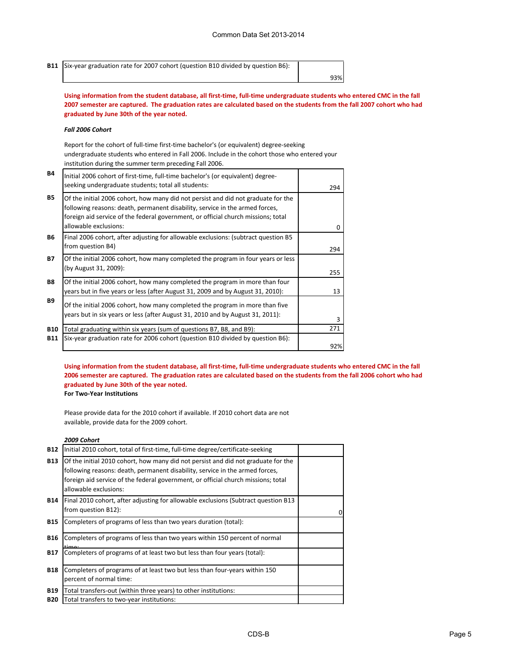| B11 Six-year graduation rate for 2007 cohort (question B10 divided by question B6): |     |
|-------------------------------------------------------------------------------------|-----|
|                                                                                     | 93% |

**Using information from the student database, all first-time, full-time undergraduate students who entered CMC in the fall 2007 semester are captured. The graduation rates are calculated based on the students from the fall 2007 cohort who had graduated by June 30th of the year noted.**

#### *Fall 2006 Cohort*

Report for the cohort of full-time first-time bachelor's (or equivalent) degree-seeking undergraduate students who entered in Fall 2006. Include in the cohort those who entered your institution during the summer term preceding Fall 2006.

| <b>B4</b>  | Initial 2006 cohort of first-time, full-time bachelor's (or equivalent) degree-<br>seeking undergraduate students; total all students:                                                                                                                                          | 294 |
|------------|---------------------------------------------------------------------------------------------------------------------------------------------------------------------------------------------------------------------------------------------------------------------------------|-----|
| <b>B5</b>  | Of the initial 2006 cohort, how many did not persist and did not graduate for the<br>following reasons: death, permanent disability, service in the armed forces,<br>foreign aid service of the federal government, or official church missions; total<br>allowable exclusions: | 0   |
| <b>B6</b>  | Final 2006 cohort, after adjusting for allowable exclusions: (subtract question B5<br>from question B4)                                                                                                                                                                         | 294 |
| <b>B7</b>  | Of the initial 2006 cohort, how many completed the program in four years or less<br>(by August 31, 2009):                                                                                                                                                                       | 255 |
| <b>B8</b>  | Of the initial 2006 cohort, how many completed the program in more than four<br>years but in five years or less (after August 31, 2009 and by August 31, 2010):                                                                                                                 | 13  |
| <b>B9</b>  | Of the initial 2006 cohort, how many completed the program in more than five<br>years but in six years or less (after August 31, 2010 and by August 31, 2011):                                                                                                                  | 3   |
| <b>B10</b> | Total graduating within six years (sum of questions B7, B8, and B9):                                                                                                                                                                                                            | 271 |
| <b>B11</b> | Six-year graduation rate for 2006 cohort (question B10 divided by question B6):                                                                                                                                                                                                 | 92% |

**Using information from the student database, all first-time, full-time undergraduate students who entered CMC in the fall 2006 semester are captured. The graduation rates are calculated based on the students from the fall 2006 cohort who had graduated by June 30th of the year noted.**

**For Two-Year Institutions**

Please provide data for the 2010 cohort if available. If 2010 cohort data are not available, provide data for the 2009 cohort.

#### *2009 Cohort*

| <b>B12</b>               | Initial 2010 cohort, total of first-time, full-time degree/certificate-seeking                                                                                                                                                                                                  |  |
|--------------------------|---------------------------------------------------------------------------------------------------------------------------------------------------------------------------------------------------------------------------------------------------------------------------------|--|
| <b>B13</b>               | Of the initial 2010 cohort, how many did not persist and did not graduate for the<br>following reasons: death, permanent disability, service in the armed forces,<br>foreign aid service of the federal government, or official church missions; total<br>allowable exclusions: |  |
| <b>B14</b>               | Final 2010 cohort, after adjusting for allowable exclusions (Subtract question B13)<br>from question B12):                                                                                                                                                                      |  |
| <b>B15</b>               | Completers of programs of less than two years duration (total):                                                                                                                                                                                                                 |  |
| <b>B16</b>               | Completers of programs of less than two years within 150 percent of normal<br>time:                                                                                                                                                                                             |  |
| <b>B17</b>               | Completers of programs of at least two but less than four years (total):                                                                                                                                                                                                        |  |
| <b>B18</b>               | Completers of programs of at least two but less than four-years within 150<br>percent of normal time:                                                                                                                                                                           |  |
| <b>B19</b><br><b>B20</b> | Total transfers-out (within three years) to other institutions:<br>Total transfers to two-year institutions:                                                                                                                                                                    |  |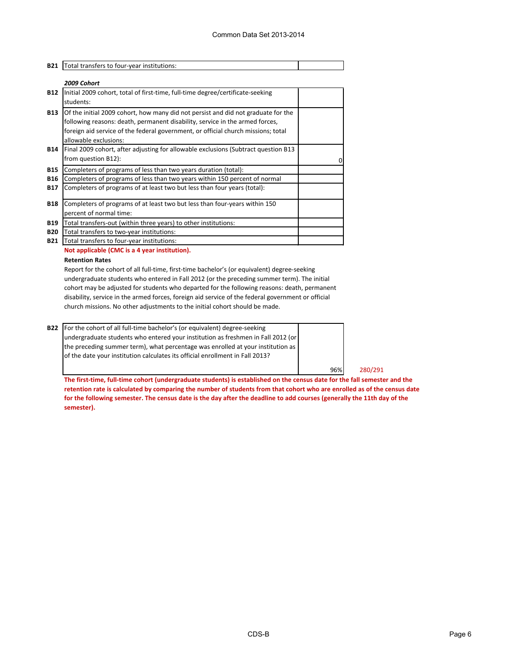| <b>B21</b>                             | Total transfers to four-year institutions:                                                                                                                                                                                                                                      |  |
|----------------------------------------|---------------------------------------------------------------------------------------------------------------------------------------------------------------------------------------------------------------------------------------------------------------------------------|--|
|                                        | 2009 Cohort                                                                                                                                                                                                                                                                     |  |
| <b>B12</b>                             | Initial 2009 cohort, total of first-time, full-time degree/certificate-seeking<br>students:                                                                                                                                                                                     |  |
| <b>B13</b>                             | Of the initial 2009 cohort, how many did not persist and did not graduate for the<br>following reasons: death, permanent disability, service in the armed forces,<br>foreign aid service of the federal government, or official church missions; total<br>allowable exclusions: |  |
| <b>B14</b>                             | Final 2009 cohort, after adjusting for allowable exclusions (Subtract question B13)<br>from question B12):                                                                                                                                                                      |  |
| <b>B15</b><br><b>B16</b><br><b>B17</b> | Completers of programs of less than two years duration (total):<br>Completers of programs of less than two years within 150 percent of normal<br>Completers of programs of at least two but less than four years (total):                                                       |  |
| <b>B18</b>                             | Completers of programs of at least two but less than four-years within 150<br>percent of normal time:                                                                                                                                                                           |  |
| <b>B19</b><br><b>B20</b><br><b>B21</b> | Total transfers-out (within three years) to other institutions:<br>Total transfers to two-year institutions:<br>Total transfers to four-year institutions:                                                                                                                      |  |

#### **Not applicable (CMC is a 4 year institution).**

#### **Retention Rates**

Report for the cohort of all full-time, first-time bachelor's (or equivalent) degree-seeking undergraduate students who entered in Fall 2012 (or the preceding summer term). The initial cohort may be adjusted for students who departed for the following reasons: death, permanent disability, service in the armed forces, foreign aid service of the federal government or official church missions. No other adjustments to the initial cohort should be made.

**B22** For the cohort of all full-time bachelor's (or equivalent) degree-seeking undergraduate students who entered your institution as freshmen in Fall 2012 (or the preceding summer term), what percentage was enrolled at your institution as of the date your institution calculates its official enrollment in Fall 2013?

96% 280/291

**The first-time, full-time cohort (undergraduate students) is established on the census date for the fall semester and the retention rate is calculated by comparing the number of students from that cohort who are enrolled as of the census date for the following semester. The census date is the day after the deadline to add courses (generally the 11th day of the semester).**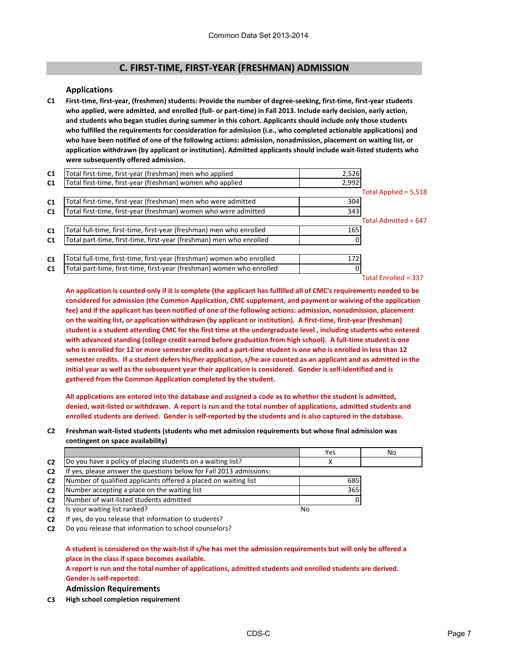# **C. FIRST-TIME, FIRST-YEAR (FRESHMAN) ADMISSION**

#### **Applications**

**C1 First-time, first-year, (freshmen) students: Provide the number of degree-seeking, first-time, first-year students who applied, were admitted, and enrolled (full- or part-time) in Fall 2013. Include early decision, early action, and students who began studies during summer in this cohort. Applicants should include only those students who fulfilled the requirements for consideration for admission (i.e., who completed actionable applications) and who have been notified of one of the following actions: admission, nonadmission, placement on waiting list, or application withdrawn (by applicant or institution). Admitted applicants should include wait-listed students who were subsequently offered admission.**

| C1             | Total first-time, first-year (freshman) men who applied               | 2,526 |                        |
|----------------|-----------------------------------------------------------------------|-------|------------------------|
| C <sub>1</sub> | Total first-time, first-year (freshman) women who applied             | 2,992 |                        |
|                |                                                                       |       | Total Applied = 5,518  |
| C1             | Total first-time, first-year (freshman) men who were admitted         | 304   |                        |
| C <sub>1</sub> | Total first-time, first-year (freshman) women who were admitted       | 343   |                        |
|                |                                                                       |       | Total Admitted = 647   |
| C1             | Total full-time, first-time, first-year (freshman) men who enrolled   | 165   |                        |
| C <sub>1</sub> | Total part-time, first-time, first-year (freshman) men who enrolled   |       |                        |
|                |                                                                       |       |                        |
| C1             | Total full-time, first-time, first-year (freshman) women who enrolled | 172   |                        |
| C1             | Total part-time, first-time, first-year (freshman) women who enrolled |       |                        |
|                |                                                                       |       | Total Enrolled = $337$ |

**An application is counted only if it is complete (the applicant has fulfilled all of CMC's requirements needed to be considered for admission (the Common Application, CMC supplement, and payment or waiving of the application fee) and if the applicant has been notified of one of the following actions: admission, nonadmission, placement on the waiting list, or application withdrawn (by applicant or institution). A first-time, first-year (freshman) student is a student attending CMC for the first time at the undergraduate level , including students who entered with advanced standing (college credit earned before graduation from high school). A full-time student is one who is enrolled for 12 or more semester credits and a part-time student is one who is enrolled in less than 12 semester credits. If a student defers his/her application, s/he are counted as an applicant and as admitted in the initial year as well as the subsequent year their application is considered. Gender is self-identified and is gathered from the Common Application completed by the student.**

**All applications are entered into the database and assigned a code as to whether the student is admitted, denied, wait-listed or withdrawn. A report is run and the total number of applications, admitted students and enrolled students are derived. Gender is self-reported by the students and is also captured in the database.**

**C2 Freshman wait-listed students (students who met admission requirements but whose final admission was contingent on space availability)**

|                |                                                                  | Yes | No |
|----------------|------------------------------------------------------------------|-----|----|
| C <sub>2</sub> | Do you have a policy of placing students on a waiting list?      |     |    |
| C <sub>2</sub> | yes, please answer the questions below for Fall 2013 admissions: |     |    |
| C <sub>2</sub> | Number of qualified applicants offered a placed on waiting list  | 685 |    |
| C <sub>2</sub> | Number accepting a place on the waiting list                     | 365 |    |
| C <sub>2</sub> | Number of wait-listed students admitted                          |     |    |
| C <sub>2</sub> | Is your waiting list ranked?                                     | No  |    |

**C2** If yes, do you release that information to students?

**C2** Do you release that information to school counselors?

### **A student is considered on the wait-list if s/he has met the admission requirements but will only be offered a place in the class if space becomes available.**

**A report is run and the total number of applications, admitted students and enrolled students are derived.** 

**Gender is self-reported.**

**Admission Requirements**

**C3 High school completion requirement**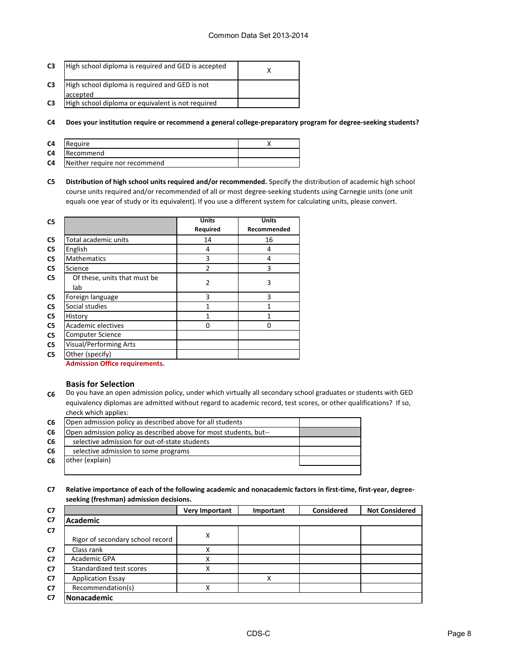| C <sub>3</sub> | High school diploma is required and GED is accepted |  |
|----------------|-----------------------------------------------------|--|
| C3             | High school diploma is required and GED is not      |  |
|                | accepted                                            |  |
| C <sub>3</sub> | High school diploma or equivalent is not required   |  |

**C4 Does your institution require or recommend a general college-preparatory program for degree-seeking students?**

| C <sub>4</sub> | Reguire                       |  |
|----------------|-------------------------------|--|
| C <sub>4</sub> | Recommend                     |  |
| C <sub>4</sub> | Neither require nor recommend |  |

**C5 Distribution of high school units required and/or recommended.** Specify the distribution of academic high school course units required and/or recommended of all or most degree-seeking students using Carnegie units (one unit equals one year of study or its equivalent). If you use a different system for calculating units, please convert.

| C <sub>5</sub> |                                     | <b>Units</b>   | <b>Units</b> |
|----------------|-------------------------------------|----------------|--------------|
|                |                                     | Required       | Recommended  |
| C5             | Total academic units                | 14             | 16           |
| C <sub>5</sub> | English                             | 4              | 4            |
| C <sub>5</sub> | <b>Mathematics</b>                  | 3              | 4            |
| C <sub>5</sub> | Science                             | $\overline{2}$ | 3            |
| C <sub>5</sub> | Of these, units that must be<br>lab | $\overline{2}$ | 3            |
| C5             | Foreign language                    | 3              | 3            |
| C <sub>5</sub> | Social studies                      | 1              | 1            |
| C <sub>5</sub> | History                             | 1              | 1            |
| C <sub>5</sub> | Academic electives                  | 0              | 0            |
| C <sub>5</sub> | <b>Computer Science</b>             |                |              |
| C <sub>5</sub> | <b>Visual/Performing Arts</b>       |                |              |
| C <sub>5</sub> | Other (specify)<br>.                |                |              |

**Admission Office requirements.**

#### **Basis for Selection**

**C6** Do you have an open admission policy, under which virtually all secondary school graduates or students with GED equivalency diplomas are admitted without regard to academic record, test scores, or other qualifications? If so, check which applies:

| <b>C6</b> | Open admission policy as described above for all students         |  |
|-----------|-------------------------------------------------------------------|--|
| C6        | Open admission policy as described above for most students, but-- |  |
| C6        | selective admission for out-of-state students                     |  |
| C6        | selective admission to some programs                              |  |
| C6        | lother (explain)                                                  |  |
|           |                                                                   |  |

**C7 Relative importance of each of the following academic and nonacademic factors in first-time, first-year, degreeseeking (freshman) admission decisions.**

| C <sub>7</sub> |                                  | <b>Very Important</b> | Important | Considered | <b>Not Considered</b> |
|----------------|----------------------------------|-----------------------|-----------|------------|-----------------------|
| C7             | <b>Academic</b>                  |                       |           |            |                       |
| C <sub>7</sub> | Rigor of secondary school record | Χ                     |           |            |                       |
| C7             | Class rank                       | Χ                     |           |            |                       |
| C7             | Academic GPA                     | Χ                     |           |            |                       |
| C7             | Standardized test scores         | χ                     |           |            |                       |
| C <sub>7</sub> | <b>Application Essay</b>         |                       | х         |            |                       |
| C7             | Recommendation(s)                | х                     |           |            |                       |
| C7             | Nonacademic                      |                       |           |            |                       |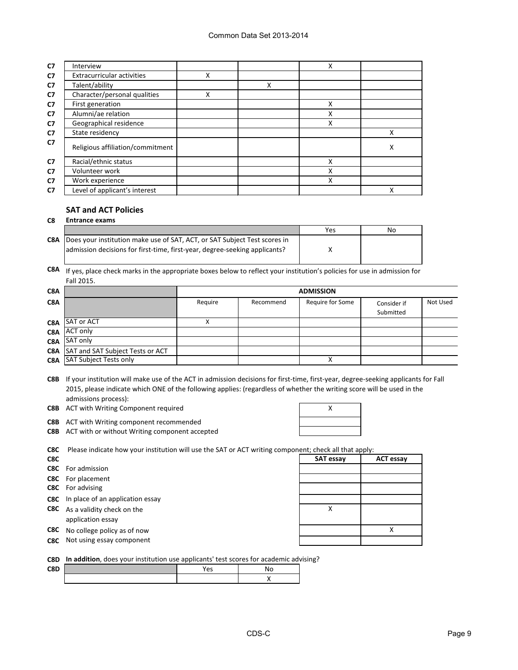| C <sub>7</sub> | Interview                        |   |   | Χ |   |
|----------------|----------------------------------|---|---|---|---|
| C7             | Extracurricular activities       | х |   |   |   |
| C7             | Talent/ability                   |   | Χ |   |   |
| C <sub>7</sub> | Character/personal qualities     | Χ |   |   |   |
| C7             | First generation                 |   |   | Χ |   |
| C <sub>7</sub> | Alumni/ae relation               |   |   | X |   |
| C <sub>7</sub> | Geographical residence           |   |   | Χ |   |
| C7             | State residency                  |   |   |   | х |
| C <sub>7</sub> | Religious affiliation/commitment |   |   |   | X |
| C <sub>7</sub> | Racial/ethnic status             |   |   | Χ |   |
| C7             | Volunteer work                   |   |   | Χ |   |
| C7             | Work experience                  |   |   | Χ |   |
| C7             | Level of applicant's interest    |   |   |   |   |

#### **SAT and ACT Policies**

|     | <b>Entrance exams</b>                                                      |     |    |  |  |
|-----|----------------------------------------------------------------------------|-----|----|--|--|
|     |                                                                            | Yes | No |  |  |
| C8A | Does your institution make use of SAT, ACT, or SAT Subject Test scores in  |     |    |  |  |
|     | admission decisions for first-time, first-year, degree-seeking applicants? |     |    |  |  |
|     |                                                                            |     |    |  |  |

**C8A** If yes, place check marks in the appropriate boxes below to reflect your institution's policies for use in admission for Fall 2015.

| C8A |                                             |         | <b>ADMISSION</b> |                  |                          |          |  |
|-----|---------------------------------------------|---------|------------------|------------------|--------------------------|----------|--|
| C8A |                                             | Require | Recommend        | Require for Some | Consider if<br>Submitted | Not Used |  |
|     | <b>C8A</b> SAT or ACT                       |         |                  |                  |                          |          |  |
| C8A | <b>ACT only</b>                             |         |                  |                  |                          |          |  |
| C8A | SAT only                                    |         |                  |                  |                          |          |  |
|     | <b>C8A</b> SAT and SAT Subject Tests or ACT |         |                  |                  |                          |          |  |
|     | <b>C8A</b> SAT Subject Tests only           |         |                  |                  |                          |          |  |

**C8B** If your institution will make use of the ACT in admission decisions for first-time, first-year, degree-seeking applicants for Fall 2015, please indicate which ONE of the following applies: (regardless of whether the writing score will be used in the admissions process):

**C8B** ACT with Writing Component required **ACT ACC ACC EXECUTE:**  $\lambda$ 

**C8B** ACT with Writing component recommended

**C8B** ACT with or without Writing component accepted

| X |  |
|---|--|
|   |  |
|   |  |

**C8C** Please indicate how your institution will use the SAT or ACT writing component; check all that apply:

| C8C |                                                            | <b>SAT essay</b> | <b>ACT essay</b> |
|-----|------------------------------------------------------------|------------------|------------------|
|     | <b>C8C</b> For admission                                   |                  |                  |
|     | <b>C8C</b> For placement                                   |                  |                  |
|     | <b>C8C</b> For advising                                    |                  |                  |
|     | <b>C8C</b> In place of an application essay                |                  |                  |
|     | <b>C8C</b> As a validity check on the<br>application essay |                  |                  |
|     | <b>C8C</b> No college policy as of now                     |                  |                  |
|     | <b>C8C</b> Not using essay component                       |                  |                  |
|     |                                                            |                  |                  |

**C8D In addition**, does your institution use applicants' test scores for academic advising?

| C8D | $\sim$<br>ີ |  |
|-----|-------------|--|
|     |             |  |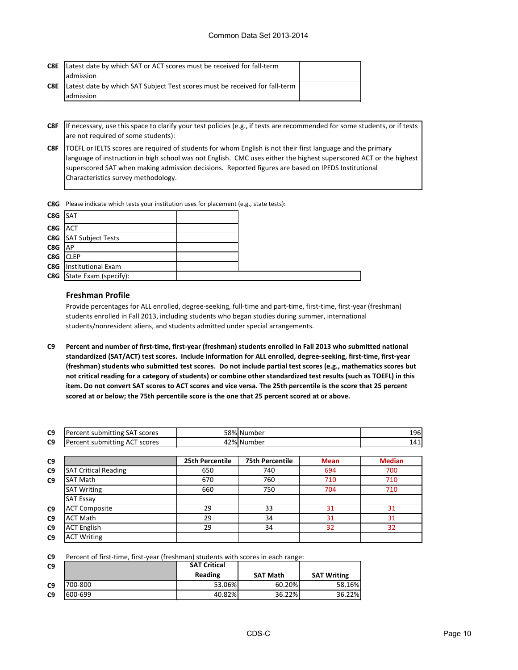| C8E | Latest date by which SAT or ACT scores must be received for fall-term       |  |
|-----|-----------------------------------------------------------------------------|--|
|     | ladmission                                                                  |  |
| C8E | Latest date by which SAT Subject Test scores must be received for fall-term |  |
|     | admission                                                                   |  |

- **C8F** If necessary, use this space to clarify your test policies (e.g., if tests are recommended for some students, or if tests are not required of some students):
- **C8F** TOEFL or IELTS scores are required of students for whom English is not their first language and the primary language of instruction in high school was not English. CMC uses either the highest superscored ACT or the highest superscored SAT when making admission decisions. Reported figures are based on IPEDS Institutional Characteristics survey methodology.

**C8G** Please indicate which tests your institution uses for placement (e.g., state tests):

| C8G SAT  |                                  |  |
|----------|----------------------------------|--|
| C8G ACT  |                                  |  |
|          | <b>C8G</b> SAT Subject Tests     |  |
| C8G      | <b>AP</b>                        |  |
| C8G CLEP |                                  |  |
|          | <b>C8G</b> Institutional Exam    |  |
|          | <b>C8G</b> State Exam (specify): |  |

#### **Freshman Profile**

Provide percentages for ALL enrolled, degree-seeking, full-time and part-time, first-time, first-year (freshman) students enrolled in Fall 2013, including students who began studies during summer, international students/nonresident aliens, and students admitted under special arrangements.

**C9 Percent and number of first-time, first-year (freshman) students enrolled in Fall 2013 who submitted national standardized (SAT/ACT) test scores. Include information for ALL enrolled, degree-seeking, first-time, first-year (freshman) students who submitted test scores. Do not include partial test scores (e.g., mathematics scores but not critical reading for a category of students) or combine other standardized test results (such as TOEFL) in this item. Do not convert SAT scores to ACT scores and vice versa. The 25th percentile is the score that 25 percent scored at or below; the 75th percentile score is the one that 25 percent scored at or above.**

| C <sub>9</sub> | submitting SAT :<br>scores<br>.Percent |                    | 58% Number | 196 |
|----------------|----------------------------------------|--------------------|------------|-----|
| C <sub>9</sub> | ACT<br>submitting<br>scores<br>Percent | ∕ ∩ ∩ ا<br>⊦∠ 7o I | ،Number اد | 141 |

| C9             |                             | 25th Percentile | <b>75th Percentile</b> | <b>Mean</b> | <b>Median</b> |
|----------------|-----------------------------|-----------------|------------------------|-------------|---------------|
| C9             | <b>SAT Critical Reading</b> | 650             | 740                    | 694         | 700           |
| C9             | <b>SAT Math</b>             | 670             | 760                    | 710         | 710           |
|                | <b>SAT Writing</b>          | 660             | 750                    | 704         | 710           |
|                | <b>SAT Essay</b>            |                 |                        |             |               |
| C <sub>9</sub> | <b>ACT Composite</b>        | 29              | 33                     | 31          | 31            |
| C9             | <b>ACT Math</b>             | 29              | 34                     | 31          | 31            |
| C9             | <b>ACT English</b>          | 29              | 34                     | 32          | 32            |
| C9             | <b>ACT Writing</b>          |                 |                        |             |               |

**C9** Percent of first-time, first-year (freshman) students with scores in each range:

| C9             |         | <b>SAT Critical</b> |                 |                    |
|----------------|---------|---------------------|-----------------|--------------------|
|                |         | Reading             | <b>SAT Math</b> | <b>SAT Writing</b> |
| C <sub>9</sub> | 700-800 | 53.06%              | 60.20%          | 58.16%             |
| C <sub>9</sub> | 600-699 | 40.82%              | 36.22%          | 36.22%             |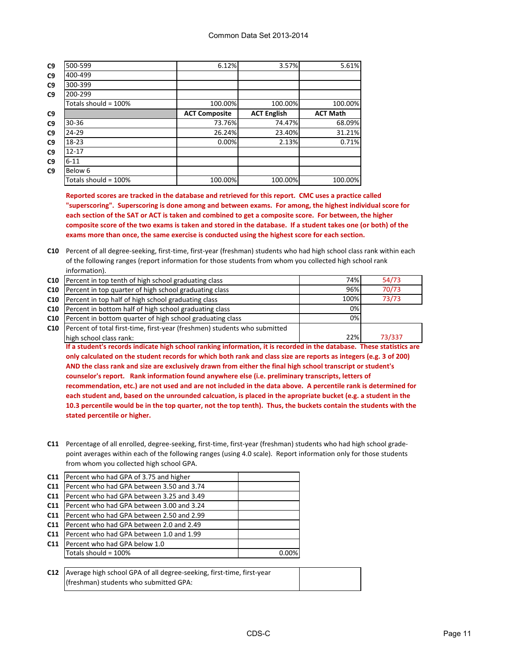| C9 | 500-599              | 6.12%                | 3.57%              | 5.61%           |
|----|----------------------|----------------------|--------------------|-----------------|
| C9 | 400-499              |                      |                    |                 |
| C9 | 300-399              |                      |                    |                 |
| C9 | 200-299              |                      |                    |                 |
|    | Totals should = 100% | 100.00%              | 100.00%            | 100.00%         |
| C9 |                      | <b>ACT Composite</b> | <b>ACT English</b> | <b>ACT Math</b> |
| C9 | $30 - 36$            | 73.76%               | 74.47%             | 68.09%          |
| C9 | 24-29                | 26.24%               | 23.40%             | 31.21%          |
| C9 | $18-23$              | 0.00%                | 2.13%              | 0.71%           |
| C9 | $12 - 17$            |                      |                    |                 |
| C9 | $6 - 11$             |                      |                    |                 |
| C9 | Below 6              |                      |                    |                 |
|    | Totals should = 100% | 100.00%              | 100.00%            | 100.00%         |

**Reported scores are tracked in the database and retrieved for this report. CMC uses a practice called "superscoring". Superscoring is done among and between exams. For among, the highest individual score for each section of the SAT or ACT is taken and combined to get a composite score. For between, the higher composite score of the two exams is taken and stored in the database. If a student takes one (or both) of the exams more than once, the same exercise is conducted using the highest score for each section.**

**C10** Percent of all degree-seeking, first-time, first-year (freshman) students who had high school class rank within each of the following ranges (report information for those students from whom you collected high school rank information).

| C <sub>10</sub> | Percent in top tenth of high school graduating class                                                                  | 74%  | 54/73  |
|-----------------|-----------------------------------------------------------------------------------------------------------------------|------|--------|
| C10             | Percent in top quarter of high school graduating class                                                                | 96%  | 70/73  |
| C10             | Percent in top half of high school graduating class                                                                   | 100% | 73/73  |
| C10             | Percent in bottom half of high school graduating class                                                                | 0%   |        |
| C <sub>10</sub> | Percent in bottom quarter of high school graduating class                                                             | 0%l  |        |
| C10             | Percent of total first-time, first-year (freshmen) students who submitted                                             |      |        |
|                 | high school class rank:                                                                                               | 22%  | 73/337 |
|                 | If a student's records indicate high school ranking information, it is recorded in the database. These statistics are |      |        |
|                 |                                                                                                                       |      |        |

**only calculated on the student records for which both rank and class size are reports as integers (e.g. 3 of 200) AND the class rank and size are exclusively drawn from either the final high school transcript or student's counselor's report. Rank information found anywhere else (i.e. preliminary transcripts, letters of recommendation, etc.) are not used and are not included in the data above. A percentile rank is determined for each student and, based on the unrounded calcuation, is placed in the apropriate bucket (e.g. a student in the 10.3 percentile would be in the top quarter, not the top tenth). Thus, the buckets contain the students with the stated percentile or higher.**

**C11** Percentage of all enrolled, degree-seeking, first-time, first-year (freshman) students who had high school gradepoint averages within each of the following ranges (using 4.0 scale). Report information only for those students from whom you collected high school GPA.

| Percent who had GPA of 3.75 and higher    |  |
|-------------------------------------------|--|
| Percent who had GPA between 3.50 and 3.74 |  |
| Percent who had GPA between 3.25 and 3.49 |  |
| Percent who had GPA between 3.00 and 3.24 |  |
| Percent who had GPA between 2.50 and 2.99 |  |
| Percent who had GPA between 2.0 and 2.49  |  |
| Percent who had GPA between 1.0 and 1.99  |  |
| Percent who had GPA below 1.0             |  |
| Totals should = $100\%$                   |  |
|                                           |  |

**C12** Average high school GPA of all degree-seeking, first-time, first-year (freshman) students who submitted GPA: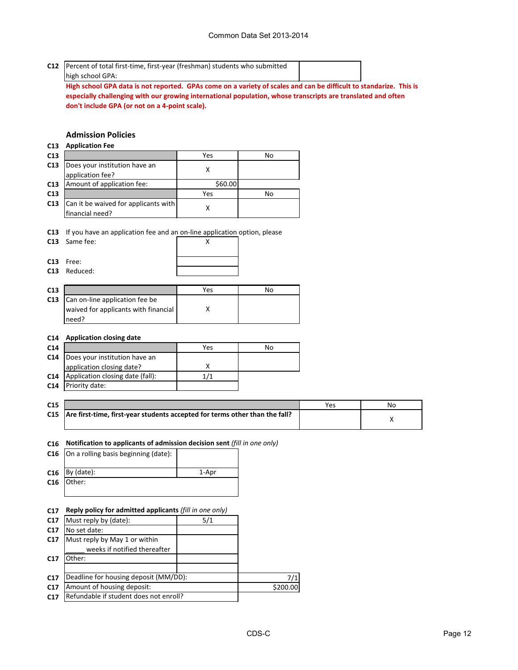**C12** Percent of total first-time, first-year (freshman) students who submitted

#### high school GPA:

**High school GPA data is not reported. GPAs come on a variety of scales and can be difficult to standarize. This is especially challenging with our growing international population, whose transcripts are translated and often don't include GPA (or not on a 4-point scale).**

# **Admission Policies**

#### **C13 Application Fee**

| C13 |                                      | Yes     | No |
|-----|--------------------------------------|---------|----|
| C13 | Does your institution have an        |         |    |
|     | application fee?                     |         |    |
| C13 | Amount of application fee:           | \$60.00 |    |
| C13 |                                      | Yes     | No |
| C13 | Can it be waived for applicants with |         |    |
|     | financial need?                      |         |    |

**C13** If you have an application fee and an on-line application option, please

| C13 Same fee: |  |
|---------------|--|
| $C13$ Free:   |  |
| C13 Reduced:  |  |

| C13 |                                      | Yes | No |
|-----|--------------------------------------|-----|----|
| C13 | Can on-line application fee be       |     |    |
|     | waived for applicants with financial |     |    |
|     | need?                                |     |    |

#### **C14 Application closing date**

| C <sub>14</sub> |                                  | Yes | No |
|-----------------|----------------------------------|-----|----|
| C <sub>14</sub> | Does your institution have an    |     |    |
|                 | application closing date?        |     |    |
| C <sub>14</sub> | Application closing date (fall): | 171 |    |
| C <sub>14</sub> | Priority date:                   |     |    |

| C <sub>15</sub> |                                                                                 | Yes | No |
|-----------------|---------------------------------------------------------------------------------|-----|----|
|                 | C15 Are first-time, first-year students accepted for terms other than the fall? |     |    |

#### **C16 Notification to applicants of admission decision sent** *(fill in one only)*

| C16 $ On a rolling basis beginning (date):$ |       |
|---------------------------------------------|-------|
| $C16$ By (date):                            | 1-Apr |
| C16 Other:                                  |       |

#### **C17 Reply policy for admitted applicants** *(fill in one only)*

| C <sub>17</sub> | Must reply by (date):                  | 5/1 |          |
|-----------------|----------------------------------------|-----|----------|
| C <sub>17</sub> | No set date:                           |     |          |
| C17             | Must reply by May 1 or within          |     |          |
|                 | weeks if notified thereafter           |     |          |
| C <sub>17</sub> | .)ther:                                |     |          |
|                 |                                        |     |          |
| C <sub>17</sub> | Deadline for housing deposit (MM/DD):  |     | 7/1      |
| C17             | Amount of housing deposit:             |     | \$200.00 |
| C <sub>17</sub> | Refundable if student does not enroll? |     |          |
|                 |                                        |     |          |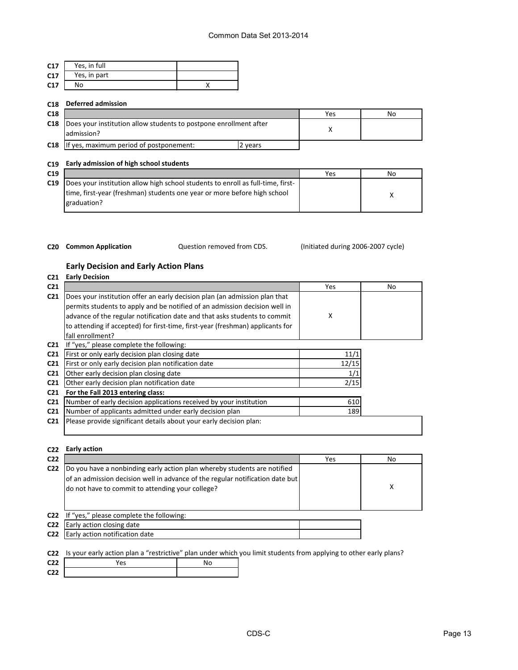| C17 | Yes, in full |  |
|-----|--------------|--|
| C17 | Yes, in part |  |
| C17 | No           |  |

#### **C18 Deferred admission**

| C <sub>18</sub> |                                                                                       |       | Yes | No |
|-----------------|---------------------------------------------------------------------------------------|-------|-----|----|
|                 | C18   Does your institution allow students to postpone enrollment after<br>admission? |       |     |    |
| C18             | If yes, maximum period of postponement:                                               | vears |     |    |

#### **C19 Early admission of high school students**

| ٧       | I |         |
|---------|---|---------|
|         |   | ×       |
| ×<br>۰, |   | ×<br>۰, |

| --- |                                                                                 |     |    |
|-----|---------------------------------------------------------------------------------|-----|----|
| C19 |                                                                                 | Yes | No |
| C19 | Does your institution allow high school students to enroll as full-time, first- |     |    |
|     | time, first-year (freshman) students one year or more before high school        |     |    |
|     | graduation?                                                                     |     |    |
|     |                                                                                 |     |    |

Question removed from CDS.

#### C20 **Common Application C20 Common Application CLEA CHO CLEA CLEA CLEA CLEA CLEA CLEA CLEA CLEA CLEA CLEA CLEA CLEA CLEA CLEA CLEA CLEA CLEA CLEA CLEA CLEA CLEA CLEA CL**

#### **Early Decision and Early Action Plans**

| C <sub>21</sub> | <b>Early Decision</b>                                                          |       |     |
|-----------------|--------------------------------------------------------------------------------|-------|-----|
| C <sub>21</sub> |                                                                                | Yes   | No. |
| C <sub>21</sub> | Does your institution offer an early decision plan (an admission plan that     |       |     |
|                 | permits students to apply and be notified of an admission decision well in     |       |     |
|                 | advance of the regular notification date and that asks students to commit      | X     |     |
|                 | to attending if accepted) for first-time, first-year (freshman) applicants for |       |     |
|                 | fall enrollment?                                                               |       |     |
| C <sub>21</sub> | If "yes," please complete the following:                                       |       |     |
| C <sub>21</sub> | First or only early decision plan closing date                                 | 11/1  |     |
| C <sub>21</sub> | First or only early decision plan notification date                            | 12/15 |     |
| C <sub>21</sub> | Other early decision plan closing date                                         | 1/1   |     |
| C <sub>21</sub> | Other early decision plan notification date                                    | 2/15  |     |
| C <sub>21</sub> | For the Fall 2013 entering class:                                              |       |     |
| C <sub>21</sub> | Number of early decision applications received by your institution             | 610   |     |
| C <sub>21</sub> | Number of applicants admitted under early decision plan                        | 189   |     |
| C <sub>21</sub> | Please provide significant details about your early decision plan:             |       |     |

#### **C22 Early action C22** Yes No. 2014 **C22** Yes No. 2014 **C22** Yes No. 2014 **C22** Yes No. 2014 **C22** X **C22** If "yes," please complete the following: **C22 C22** Early action notification date Do you have a nonbinding early action plan whereby students are notified of an admission decision well in advance of the regular notification date but do not have to commit to attending your college? Early action closing date

**C22** Is your early action plan a "restrictive" plan under which you limit students from applying to other early plans?

| C22             | <sup>v</sup> es |  |
|-----------------|-----------------|--|
| C <sub>22</sub> |                 |  |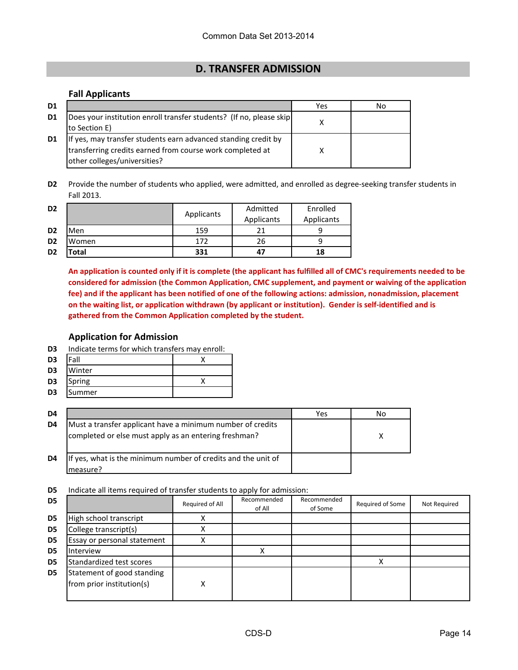# **D. TRANSFER ADMISSION**

#### **Fall Applicants**

| D <sub>1</sub> |                                                                                                                                                             | Yes | No. |
|----------------|-------------------------------------------------------------------------------------------------------------------------------------------------------------|-----|-----|
| D1             | Does your institution enroll transfer students? (If no, please skip<br>to Section E)                                                                        |     |     |
| D1             | If yes, may transfer students earn advanced standing credit by<br>transferring credits earned from course work completed at<br>other colleges/universities? |     |     |

**D2** Provide the number of students who applied, were admitted, and enrolled as degree-seeking transfer students in Fall 2013.

| D <sub>2</sub> |                   |            | Admitted   | Enrolled   |
|----------------|-------------------|------------|------------|------------|
|                |                   | Applicants | Applicants | Applicants |
| D <sub>2</sub> | Men               | 159        | 21         |            |
| D <sub>2</sub> | Women             | 172        | 26         |            |
| D <sub>2</sub> | otal <sup>.</sup> | 331        | 47         | 18         |

**An application is counted only if it is complete (the applicant has fulfilled all of CMC's requirements needed to be considered for admission (the Common Application, CMC supplement, and payment or waiving of the application fee) and if the applicant has been notified of one of the following actions: admission, nonadmission, placement on the waiting list, or application withdrawn (by applicant or institution). Gender is self-identified and is gathered from the Common Application completed by the student.**

### **Application for Admission**

- **D3** Indicate terms for which transfers may enroll:
- **D3** Fall X
- **D3** Winter
- **D3** Spring X
- **D3** Summer

| D4 |                                                                                                                     | Yes | No |
|----|---------------------------------------------------------------------------------------------------------------------|-----|----|
| D4 | Must a transfer applicant have a minimum number of credits<br>completed or else must apply as an entering freshman? |     |    |
| D4 | If yes, what is the minimum number of credits and the unit of<br>measure?                                           |     |    |

**D5** Indicate all items required of transfer students to apply for admission:

|                             |   | of All | of Some | Required of Some | Not Required |
|-----------------------------|---|--------|---------|------------------|--------------|
| High school transcript      |   |        |         |                  |              |
| College transcript(s)       |   |        |         |                  |              |
| Essay or personal statement |   |        |         |                  |              |
|                             |   |        |         |                  |              |
| Standardized test scores    |   |        |         |                  |              |
| Statement of good standing  |   |        |         |                  |              |
| from prior institution(s)   | x |        |         |                  |              |
|                             |   |        |         |                  |              |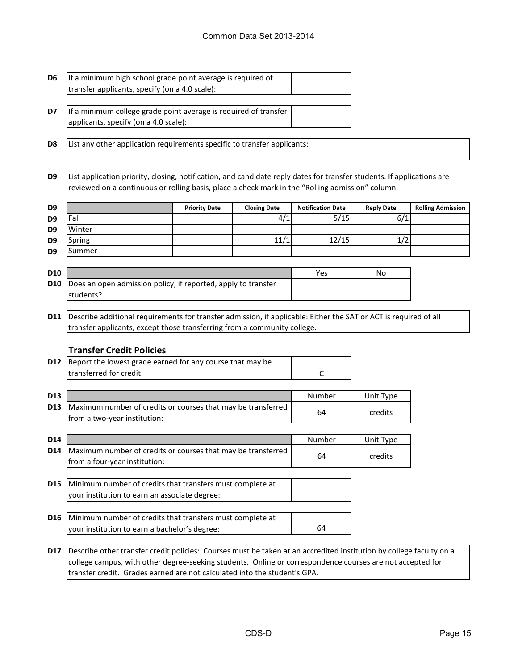#### Common Data Set 2013-2014

- **D6** If a minimum high school grade point average is required of transfer applicants, specify (on a 4.0 scale):
- **D7** If a minimum college grade point average is required of transfer applicants, specify (on a 4.0 scale):

**D8** List any other application requirements specific to transfer applicants:

**D9** List application priority, closing, notification, and candidate reply dates for transfer students. If applications are reviewed on a continuous or rolling basis, place a check mark in the "Rolling admission" column.

| D <sub>9</sub> |        | <b>Priority Date</b> | <b>Closing Date</b> | <b>Notification Date</b> | <b>Reply Date</b> | <b>Rolling Admission</b> |
|----------------|--------|----------------------|---------------------|--------------------------|-------------------|--------------------------|
| D <sub>9</sub> | Fall   |                      | 4/1                 | 5/15                     | 6/1               |                          |
| D <sub>9</sub> | Winter |                      |                     |                          |                   |                          |
| D <sub>9</sub> | Spring |                      | 11/1                | 12/15                    |                   |                          |
| D <sub>9</sub> | Summer |                      |                     |                          |                   |                          |

| <b>D10</b> |                                                                          | Yes | No |
|------------|--------------------------------------------------------------------------|-----|----|
|            | <b>D10</b> Does an open admission policy, if reported, apply to transfer |     |    |
|            | students?                                                                |     |    |

**D11** Describe additional requirements for transfer admission, if applicable: Either the SAT or ACT is required of all transfer applicants, except those transferring from a community college.

#### **Transfer Credit Policies**

| <b>D12</b> Report the lowest grade earned for any course that may be |  |
|----------------------------------------------------------------------|--|
| Itransferred for credit:                                             |  |

| D <sub>13</sub> |                                                              | Number | Unit Type |
|-----------------|--------------------------------------------------------------|--------|-----------|
| <b>D13</b>      | Maximum number of credits or courses that may be transferred | 64     | credits   |
|                 | from a two-year institution:                                 |        |           |

| D <sub>14</sub> |                                                                                                                       | Number | Unit Type |
|-----------------|-----------------------------------------------------------------------------------------------------------------------|--------|-----------|
| D14             | Maximum number of credits or courses that may be transferred<br>from a four-year institution:                         | 64     | credits   |
|                 | <b>D15</b> Minimum number of credits that transfers must complete at<br>your institution to earn an associate degree: |        |           |

- **D16** Minimum number of credits that transfers must complete at 64 your institution to earn a bachelor's degree:
- **D17** Describe other transfer credit policies: Courses must be taken at an accredited institution by college faculty on a college campus, with other degree-seeking students. Online or correspondence courses are not accepted for transfer credit. Grades earned are not calculated into the student's GPA.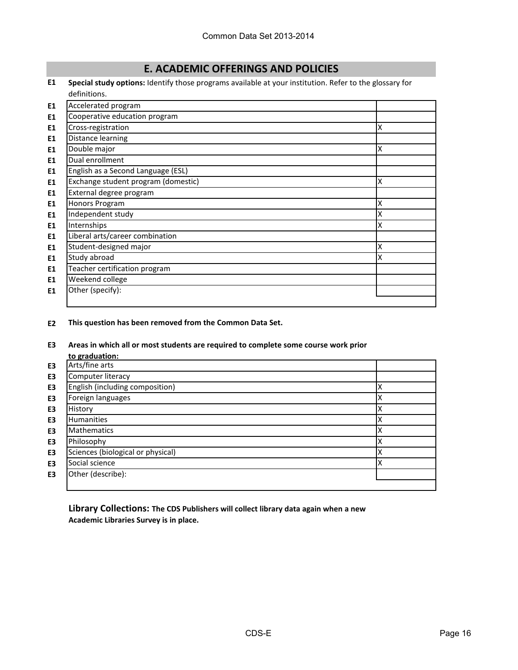# **E. ACADEMIC OFFERINGS AND POLICIES**

**E1 Special study options:** Identify those programs available at your institution. Refer to the glossary for definitions.

| E1             | Accelerated program                 |   |
|----------------|-------------------------------------|---|
| E1             | Cooperative education program       |   |
| E1             | Cross-registration                  | Χ |
| E1             | Distance learning                   |   |
| E1             | Double major                        | Χ |
| E1             | Dual enrollment                     |   |
| E1             | English as a Second Language (ESL)  |   |
| E1             | Exchange student program (domestic) | Χ |
| E1             | External degree program             |   |
| E1             | Honors Program                      | Χ |
| E1             | Independent study                   | X |
| E1             | Internships                         | Χ |
| E1             | Liberal arts/career combination     |   |
| E1             | Student-designed major              | Χ |
| E1             | Study abroad                        | X |
| E1             | Teacher certification program       |   |
| E1             | Weekend college                     |   |
| E <sub>1</sub> | Other (specify):                    |   |
|                |                                     |   |

**E2 This question has been removed from the Common Data Set.**

### **E3 Areas in which all or most students are required to complete some course work prior**

|    | to graduation:                    |   |
|----|-----------------------------------|---|
| E3 | Arts/fine arts                    |   |
| E3 | Computer literacy                 |   |
| E3 | English (including composition)   |   |
| E3 | Foreign languages                 |   |
| E3 | History                           |   |
| E3 | <b>Humanities</b>                 |   |
| E3 | <b>Mathematics</b>                |   |
| E3 | Philosophy                        |   |
| E3 | Sciences (biological or physical) |   |
| E3 | Social science                    | x |
| E3 | Other (describe):                 |   |
|    |                                   |   |

**Library Collections: The CDS Publishers will collect library data again when a new Academic Libraries Survey is in place.**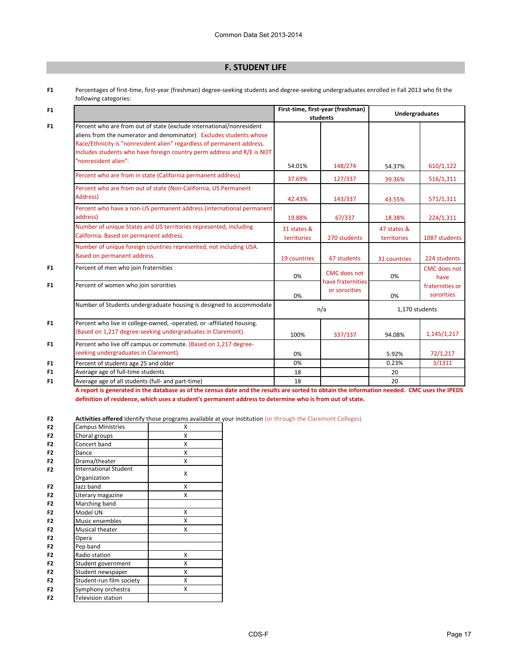# **F. STUDENT LIFE**

**F1** Percentages of first-time, first-year (freshman) degree-seeking students and degree-seeking undergraduates enrolled in Fall 2013 who fit the following categories:

| F1             |                                                                                                                                                                                                                                                                                                | First-time, first-year (freshman) |                                          | <b>Undergraduates</b>      |                               |  |
|----------------|------------------------------------------------------------------------------------------------------------------------------------------------------------------------------------------------------------------------------------------------------------------------------------------------|-----------------------------------|------------------------------------------|----------------------------|-------------------------------|--|
|                |                                                                                                                                                                                                                                                                                                |                                   | students                                 |                            |                               |  |
| F <sub>1</sub> | Percent who are from out of state (exclude international/nonresident<br>aliens from the numerator and denominator) Excludes students whose<br>Race/Ethnicity is "nonresident alien" regardless of permanent address.<br>Includes students who have foreign country perm address and R/E is NOT |                                   |                                          |                            |                               |  |
|                | "nonresident alien".                                                                                                                                                                                                                                                                           | 54.01%                            | 148/274                                  | 54.37%                     | 610/1,122                     |  |
|                | Percent who are from in state (California permanent address)                                                                                                                                                                                                                                   | 37.69%                            | 127/337                                  | 39.36%                     | 516/1,311                     |  |
|                | Percent who are from out of state (Non-California, US Permanent<br>Address)                                                                                                                                                                                                                    | 42.43%                            | 143/337                                  | 43.55%                     | 571/1,311                     |  |
|                | Percent who have a non-US permanent address (international permanent<br>address)                                                                                                                                                                                                               | 19.88%                            | 67/337                                   | 18.38%                     | 224/1,311                     |  |
|                | Number of unique States and US territories represented, including<br>California. Based on permanent address.                                                                                                                                                                                   | 31 states &<br>territories        | 270 students                             | 47 states &<br>territories | 1087 students                 |  |
|                | Number of unique foreign countries represented, not including USA.<br>Based on permanent address.                                                                                                                                                                                              | 19 countries                      | 67 students                              | 31 countries               | 224 students                  |  |
| F <sub>1</sub> | Percent of men who join fraternities                                                                                                                                                                                                                                                           | 0%                                | <b>CMC</b> does not<br>have fraternities | 0%                         | <b>CMC</b> does not<br>have   |  |
| F1             | Percent of women who join sororities                                                                                                                                                                                                                                                           | 0%                                | or sororities                            | 0%                         | fraternities or<br>sororities |  |
|                | Number of Students undergraduate housing is designed to accommodate                                                                                                                                                                                                                            |                                   | n/a                                      | 1,170 students             |                               |  |
| F <sub>1</sub> | Percent who live in college-owned, -operated, or -affiliated housing.<br>(Based on 1,217 degree-seeking undergraduates in Claremont).                                                                                                                                                          | 100%                              | 337/337                                  | 94.08%                     | 1,145/1,217                   |  |
| F <sub>1</sub> | Percent who live off campus or commute. (Based on 1,217 degree-<br>seeking undergraduates in Claremont).                                                                                                                                                                                       | 0%                                |                                          | 5.92%                      | 72/1,217                      |  |
| F <sub>1</sub> | Percent of students age 25 and older                                                                                                                                                                                                                                                           | 0%                                |                                          | 0.23%                      | 3/1311                        |  |
| F <sub>1</sub> | Average age of full-time students                                                                                                                                                                                                                                                              | 18                                |                                          | 20                         |                               |  |
| F <sub>1</sub> | Average age of all students (full- and part-time)                                                                                                                                                                                                                                              | 18                                |                                          | 20                         |                               |  |

**A report is generated in the database as of the census date and the results are sorted to obtain the information needed. CMC uses the IPEDS definition of residence, which uses a student's permanent address to determine who is from out of state.** 

**F2 Activities offered** Identify those programs available at your institution (or through the Claremont Colleges).

| F <sub>2</sub> | <b>Campus Ministries</b>     | Χ |
|----------------|------------------------------|---|
| F <sub>2</sub> | Choral groups                | X |
| F <sub>2</sub> | Concert band                 | X |
| F <sub>2</sub> | Dance                        | X |
| F <sub>2</sub> | Drama/theater                | X |
| F <sub>2</sub> | <b>International Student</b> | x |
|                | Organization                 |   |
| F <sub>2</sub> | Jazz band                    | X |
| F <sub>2</sub> | Literary magazine            | x |
| F <sub>2</sub> | Marching band                |   |
| F <sub>2</sub> | Model UN                     | x |
| F <sub>2</sub> | Music ensembles              | x |
| F <sub>2</sub> | Musical theater              | X |
| F <sub>2</sub> | Opera                        |   |
| F <sub>2</sub> | Pep band                     |   |
| F <sub>2</sub> | Radio station                | x |
| F <sub>2</sub> | Student government           | x |
| F <sub>2</sub> | Student newspaper            | x |
| F <sub>2</sub> | Student-run film society     | x |
| F <sub>2</sub> | Symphony orchestra           | x |
| F <sub>2</sub> | Television station           |   |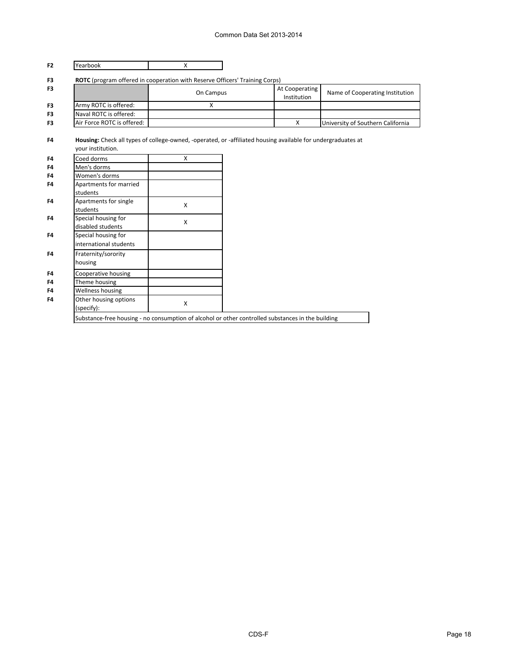# Common Data Set 2013-2014

| Yearbook                                                                    | $\mathsf{X}$       |                                                                                                              |                                   |
|-----------------------------------------------------------------------------|--------------------|--------------------------------------------------------------------------------------------------------------|-----------------------------------|
| ROTC (program offered in cooperation with Reserve Officers' Training Corps) |                    |                                                                                                              |                                   |
|                                                                             | On Campus          | At Cooperating<br>Institution                                                                                | Name of Cooperating Institution   |
| Army ROTC is offered:                                                       | X                  |                                                                                                              |                                   |
| Naval ROTC is offered:                                                      |                    |                                                                                                              |                                   |
| Air Force ROTC is offered:                                                  |                    | $\mathsf{x}$                                                                                                 | University of Southern California |
| your institution.                                                           |                    | Housing: Check all types of college-owned, -operated, or -affiliated housing available for undergraduates at |                                   |
| Coed dorms                                                                  | X                  |                                                                                                              |                                   |
| Men's dorms                                                                 |                    |                                                                                                              |                                   |
| Women's dorms                                                               |                    |                                                                                                              |                                   |
| Apartments for married                                                      |                    |                                                                                                              |                                   |
| students                                                                    |                    |                                                                                                              |                                   |
| Apartments for single                                                       | X                  |                                                                                                              |                                   |
| students                                                                    |                    |                                                                                                              |                                   |
| Special housing for                                                         | $\pmb{\mathsf{X}}$ |                                                                                                              |                                   |
| disabled students                                                           |                    |                                                                                                              |                                   |
| Special housing for                                                         |                    |                                                                                                              |                                   |
| international students                                                      |                    |                                                                                                              |                                   |
| Fraternity/sorority                                                         |                    |                                                                                                              |                                   |
| housing                                                                     |                    |                                                                                                              |                                   |
| Cooperative housing                                                         |                    |                                                                                                              |                                   |
| Theme housing                                                               |                    |                                                                                                              |                                   |
| Wellness housing                                                            |                    |                                                                                                              |                                   |
| Other housing options                                                       | $\pmb{\mathsf{X}}$ |                                                                                                              |                                   |
|                                                                             |                    |                                                                                                              |                                   |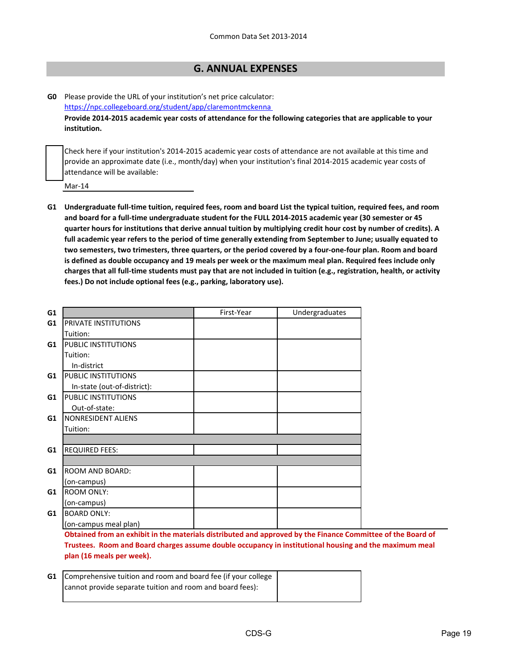# **G. ANNUAL EXPENSES**

**G0** Please provide the URL of your institution's net price calculator: <https://npc.collegeboard.org/student/app/claremontmckenna> **Provide 2014-2015 academic year costs of attendance for the following categories that are applicable to your institution.**

Check here if your institution's 2014-2015 academic year costs of attendance are not available at this time and provide an approximate date (i.e., month/day) when your institution's final 2014-2015 academic year costs of attendance will be available:

Mar-14

**G1 Undergraduate full-time tuition, required fees, room and board List the typical tuition, required fees, and room and board for a full-time undergraduate student for the FULL 2014-2015 academic year (30 semester or 45 quarter hours for institutions that derive annual tuition by multiplying credit hour cost by number of credits). A full academic year refers to the period of time generally extending from September to June; usually equated to two semesters, two trimesters, three quarters, or the period covered by a four-one-four plan. Room and board is defined as double occupancy and 19 meals per week or the maximum meal plan. Required fees include only charges that all full-time students must pay that are not included in tuition (e.g., registration, health, or activity fees.) Do not include optional fees (e.g., parking, laboratory use).**

| G1 |                                                                                                             | First-Year | Undergraduates |  |
|----|-------------------------------------------------------------------------------------------------------------|------------|----------------|--|
| G1 | <b>PRIVATE INSTITUTIONS</b>                                                                                 |            |                |  |
|    | Tuition:                                                                                                    |            |                |  |
| G1 | <b>PUBLIC INSTITUTIONS</b>                                                                                  |            |                |  |
|    | Tuition:                                                                                                    |            |                |  |
|    | In-district                                                                                                 |            |                |  |
| G1 | <b>PUBLIC INSTITUTIONS</b>                                                                                  |            |                |  |
|    | In-state (out-of-district):                                                                                 |            |                |  |
| G1 | <b>PUBLIC INSTITUTIONS</b>                                                                                  |            |                |  |
|    | Out-of-state:                                                                                               |            |                |  |
| G1 | NONRESIDENT ALIENS                                                                                          |            |                |  |
|    | Tuition:                                                                                                    |            |                |  |
|    |                                                                                                             |            |                |  |
| G1 | <b>REQUIRED FEES:</b>                                                                                       |            |                |  |
|    |                                                                                                             |            |                |  |
| G1 | <b>ROOM AND BOARD:</b>                                                                                      |            |                |  |
|    | (on-campus)                                                                                                 |            |                |  |
| G1 | <b>ROOM ONLY:</b>                                                                                           |            |                |  |
|    | (on-campus)                                                                                                 |            |                |  |
| G1 | <b>BOARD ONLY:</b>                                                                                          |            |                |  |
|    | (on-campus meal plan)                                                                                       |            |                |  |
|    | Obtained from an exhibit in the materials distributed and approved by the Finance Committee of the Board of |            |                |  |
|    | Trustees. Room and Board charges assume double occupancy in institutional housing and the maximum meal      |            |                |  |
|    | plan (16 meals per week).                                                                                   |            |                |  |
|    |                                                                                                             |            |                |  |
| G1 | Comprehensive tuition and room and board fee (if your college                                               |            |                |  |
|    | cannot provide separate tuition and room and board fees):                                                   |            |                |  |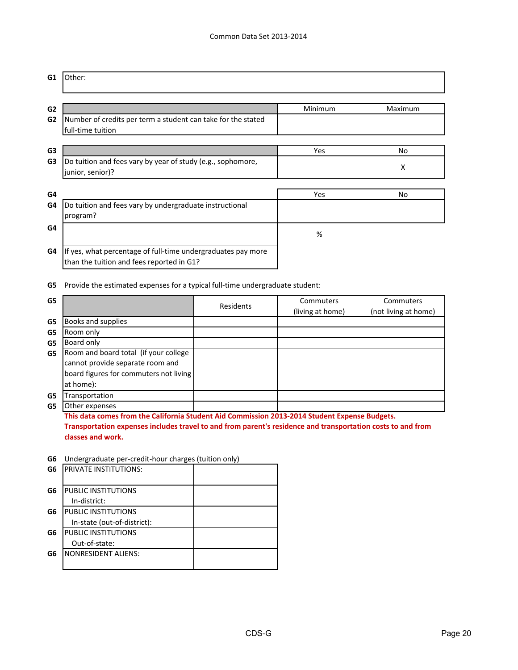| G1                               | Other:                                                                                                    |         |                |
|----------------------------------|-----------------------------------------------------------------------------------------------------------|---------|----------------|
| G <sub>2</sub><br>G <sub>2</sub> | Number of credits per term a student can take for the stated                                              | Minimum | Maximum        |
|                                  | full-time tuition                                                                                         |         |                |
| G <sub>3</sub>                   |                                                                                                           | Yes     | No             |
| G3                               | Do tuition and fees vary by year of study (e.g., sophomore,<br>junior, senior)?                           |         | х              |
|                                  |                                                                                                           |         |                |
| G4                               |                                                                                                           | Yes     | N <sub>o</sub> |
| G4                               | Do tuition and fees vary by undergraduate instructional<br>program?                                       |         |                |
| G4                               |                                                                                                           | %       |                |
| G4                               | If yes, what percentage of full-time undergraduates pay more<br>than the tuition and fees reported in G1? |         |                |

**G5** Provide the estimated expenses for a typical full-time undergraduate student:

| G5 |                                        | Residents | Commuters        | Commuters            |
|----|----------------------------------------|-----------|------------------|----------------------|
|    |                                        |           | (living at home) | (not living at home) |
| G5 | Books and supplies                     |           |                  |                      |
| G5 | Room only                              |           |                  |                      |
| G5 | Board only                             |           |                  |                      |
| G5 | Room and board total (if your college  |           |                  |                      |
|    | cannot provide separate room and       |           |                  |                      |
|    | board figures for commuters not living |           |                  |                      |
|    | at home):                              |           |                  |                      |
| G5 | Transportation                         |           |                  |                      |
| G5 | Other expenses                         |           |                  |                      |

**This data comes from the California Student Aid Commission 2013-2014 Student Expense Budgets. Transportation expenses includes travel to and from parent's residence and transportation costs to and from classes and work.**

#### **G6** Undergraduate per-credit-hour charges (tuition only)

| G6 | <b>PRIVATE INSTITUTIONS:</b> |  |
|----|------------------------------|--|
|    |                              |  |
| G6 | PUBLIC INSTITUTIONS          |  |
|    | In-district:                 |  |
| G6 | <b>PUBLIC INSTITUTIONS</b>   |  |
|    | In-state (out-of-district):  |  |
| G6 | <b>PUBLIC INSTITUTIONS</b>   |  |
|    | Out-of-state:                |  |
| G6 | <b>NONRESIDENT ALIENS:</b>   |  |
|    |                              |  |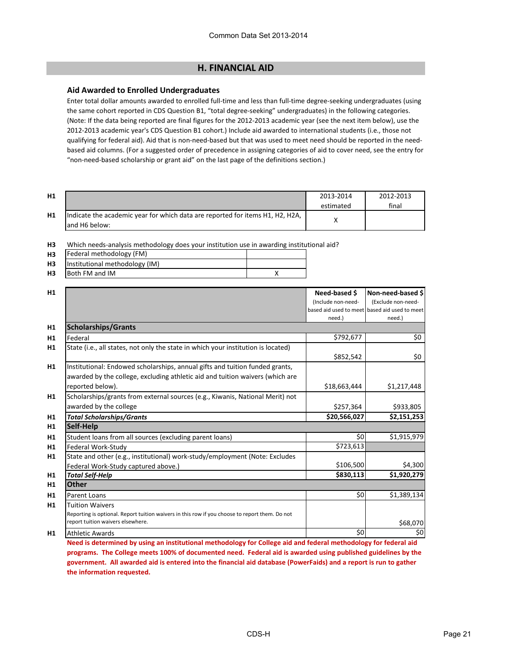# **H. FINANCIAL AID**

#### **Aid Awarded to Enrolled Undergraduates**

Enter total dollar amounts awarded to enrolled full-time and less than full-time degree-seeking undergraduates (using the same cohort reported in CDS Question B1, "total degree-seeking" undergraduates) in the following categories. (Note: If the data being reported are final figures for the 2012-2013 academic year (see the next item below), use the 2012-2013 academic year's CDS Question B1 cohort.) Include aid awarded to international students (i.e., those not qualifying for federal aid). Aid that is non-need-based but that was used to meet need should be reported in the needbased aid columns. (For a suggested order of precedence in assigning categories of aid to cover need, see the entry for "non-need-based scholarship or grant aid" on the last page of the definitions section.)

| H1 |                                                                                                 | 2013-2014<br>estimated | 2012-2013<br>final |
|----|-------------------------------------------------------------------------------------------------|------------------------|--------------------|
| H1 | Indicate the academic year for which data are reported for items H1, H2, H2A,<br>land H6 below: |                        |                    |

**H3** Which needs-analysis methodology does your institution use in awarding institutional aid?

| <b>H3</b>      | Federal methodology (FM)       |  |
|----------------|--------------------------------|--|
| H <sub>3</sub> | Institutional methodology (IM) |  |
| <b>H3</b>      | <b>Both FM and IM</b>          |  |

| H1                                                                                             | Need-based \$      | Non-need-based \$                             |
|------------------------------------------------------------------------------------------------|--------------------|-----------------------------------------------|
|                                                                                                | (Include non-need- | (Exclude non-need-                            |
|                                                                                                |                    | based aid used to meet based aid used to meet |
|                                                                                                | need.)             | need.)                                        |
| <b>Scholarships/Grants</b><br>H1                                                               |                    |                                               |
| Federal<br>H1                                                                                  | \$792,677          | \$0\$                                         |
| State (i.e., all states, not only the state in which your institution is located)<br>H1        |                    |                                               |
|                                                                                                | \$852,542          | \$0                                           |
| Institutional: Endowed scholarships, annual gifts and tuition funded grants,<br>H1             |                    |                                               |
| awarded by the college, excluding athletic aid and tuition waivers (which are                  |                    |                                               |
| reported below).                                                                               | \$18,663,444       | \$1,217,448                                   |
| Scholarships/grants from external sources (e.g., Kiwanis, National Merit) not                  |                    |                                               |
| awarded by the college                                                                         | \$257,364          | \$933,805                                     |
| <b>Total Scholarships/Grants</b>                                                               | \$20,566,027       | \$2,151,253                                   |
| Self-Help                                                                                      |                    |                                               |
| Student loans from all sources (excluding parent loans)                                        | \$0                | \$1,915,979                                   |
| Federal Work-Study                                                                             | \$723,613          |                                               |
| State and other (e.g., institutional) work-study/employment (Note: Excludes                    |                    |                                               |
| Federal Work-Study captured above.)                                                            | \$106,500          | \$4,300                                       |
| <b>Total Self-Help</b>                                                                         | \$830,113          | \$1,920,279                                   |
| <b>Other</b>                                                                                   |                    |                                               |
| <b>Parent Loans</b>                                                                            | \$0                | \$1,389,134                                   |
| <b>Tuition Waivers</b>                                                                         |                    |                                               |
| Reporting is optional. Report tuition waivers in this row if you choose to report them. Do not |                    |                                               |
| report tuition waivers elsewhere.                                                              |                    | \$68,070                                      |
| <b>Athletic Awards</b><br>H1                                                                   | \$0                | \$0                                           |

**Need is determined by using an institutional methodology for College aid and federal methodology for federal aid programs. The College meets 100% of documented need. Federal aid is awarded using published guidelines by the government. All awarded aid is entered into the financial aid database (PowerFaids) and a report is run to gather the information requested.**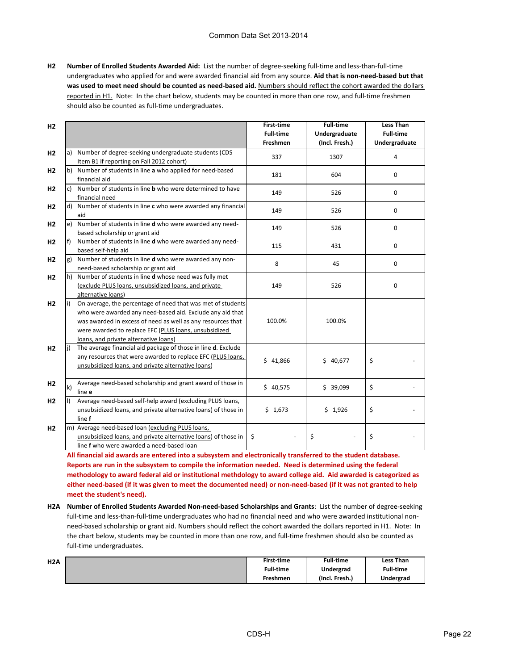#### Common Data Set 2013-2014

**H2 Number of Enrolled Students Awarded Aid:** List the number of degree-seeking full-time and less-than-full-time undergraduates who applied for and were awarded financial aid from any source. **Aid that is non-need-based but that was used to meet need should be counted as need-based aid.** Numbers should reflect the cohort awarded the dollars reported in H1. Note: In the chart below, students may be counted in more than one row, and full-time freshmen should also be counted as full-time undergraduates.

| H2             |              |                                                                                                                                                                                                                                                                                           | <b>First-time</b>            | <b>Full-time</b>                | <b>Less Than</b>                  |
|----------------|--------------|-------------------------------------------------------------------------------------------------------------------------------------------------------------------------------------------------------------------------------------------------------------------------------------------|------------------------------|---------------------------------|-----------------------------------|
|                |              |                                                                                                                                                                                                                                                                                           | <b>Full-time</b><br>Freshmen | Undergraduate<br>(Incl. Fresh.) | <b>Full-time</b><br>Undergraduate |
| H <sub>2</sub> |              | a) Number of degree-seeking undergraduate students (CDS<br>Item B1 if reporting on Fall 2012 cohort)                                                                                                                                                                                      | 337                          | 1307                            | 4                                 |
| H2             |              | b) Number of students in line a who applied for need-based<br>financial aid                                                                                                                                                                                                               | 181                          | 604                             | $\mathbf 0$                       |
| H <sub>2</sub> |              | c) Number of students in line <b>b</b> who were determined to have<br>financial need                                                                                                                                                                                                      | 149                          | 526                             | $\mathbf 0$                       |
| H <sub>2</sub> |              | d) Number of students in line c who were awarded any financial<br>aid                                                                                                                                                                                                                     | 149                          | 526                             | $\mathbf 0$                       |
| H <sub>2</sub> |              | e) Number of students in line <b>d</b> who were awarded any need-<br>based scholarship or grant aid                                                                                                                                                                                       | 149                          | 526                             | $\mathbf 0$                       |
| H <sub>2</sub> | f)           | Number of students in line d who were awarded any need-<br>based self-help aid                                                                                                                                                                                                            | 115                          | 431                             | 0                                 |
| H <sub>2</sub> | g)           | Number of students in line d who were awarded any non-<br>need-based scholarship or grant aid                                                                                                                                                                                             | 8                            | 45                              | 0                                 |
| H <sub>2</sub> |              | h) Number of students in line d whose need was fully met<br>(exclude PLUS loans, unsubsidized loans, and private<br>alternative loans)                                                                                                                                                    | 149                          | 526                             | 0                                 |
| H <sub>2</sub> | li)          | On average, the percentage of need that was met of students<br>who were awarded any need-based aid. Exclude any aid that<br>was awarded in excess of need as well as any resources that<br>were awarded to replace EFC (PLUS loans, unsubsidized<br>loans, and private alternative loans) | 100.0%                       | 100.0%                          |                                   |
| H <sub>2</sub> | li)          | The average financial aid package of those in line d. Exclude<br>any resources that were awarded to replace EFC (PLUS loans,<br>unsubsidized loans, and private alternative loans)                                                                                                        | \$41,866                     | \$40,677                        | \$                                |
| H <sub>2</sub> | $\mathsf{k}$ | Average need-based scholarship and grant award of those in<br>line e                                                                                                                                                                                                                      | \$40,575                     | \$39,099                        | \$                                |
| H <sub>2</sub> | II)          | Average need-based self-help award (excluding PLUS loans,<br>unsubsidized loans, and private alternative loans) of those in<br>line f                                                                                                                                                     | \$1,673                      | \$1,926                         | \$                                |
| H <sub>2</sub> |              | m) Average need-based loan (excluding PLUS loans,<br>unsubsidized loans, and private alternative loans) of those in<br>line f who were awarded a need-based loan                                                                                                                          | \$                           | \$                              | \$                                |

**All financial aid awards are entered into a subsystem and electronically transferred to the student database. Reports are run in the subsystem to compile the information needed. Need is determined using the federal methodology to award federal aid or institutional methdology to award college aid. Aid awarded is categorized as either need-based (if it was given to meet the documented need) or non-need-based (if it was not granted to help meet the student's need).**

**H2A Number of Enrolled Students Awarded Non-need-based Scholarships and Grants**: List the number of degree-seeking full-time and less-than-full-time undergraduates who had no financial need and who were awarded institutional nonneed-based scholarship or grant aid. Numbers should reflect the cohort awarded the dollars reported in H1. Note: In the chart below, students may be counted in more than one row, and full-time freshmen should also be counted as full-time undergraduates.

| H <sub>2</sub> A | First-time       | <b>Full-time</b> | <b>Less Than</b> |
|------------------|------------------|------------------|------------------|
|                  | <b>Full-time</b> | Undergrad        | <b>Full-time</b> |
|                  | <b>Freshmen</b>  | (Incl. Fresh.)   | Undergrad        |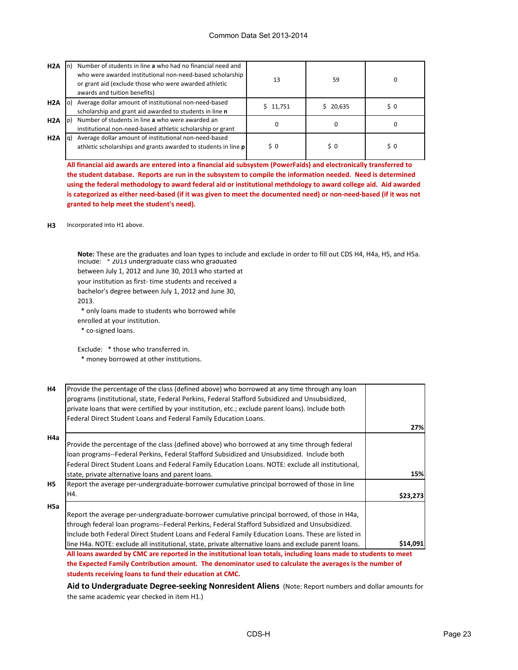| H2A              | Number of students in line a who had no financial need and<br>who were awarded institutional non-need-based scholarship<br>or grant aid (exclude those who were awarded athletic<br>awards and tuition benefits) | 13       | 59             |     |
|------------------|------------------------------------------------------------------------------------------------------------------------------------------------------------------------------------------------------------------|----------|----------------|-----|
| H <sub>2</sub> A | Average dollar amount of institutional non-need-based<br>scholarship and grant aid awarded to students in line n                                                                                                 | \$11,751 | \$20,635       | \$0 |
| H <sub>2</sub> A | Number of students in line a who were awarded an<br>institutional non-need-based athletic scholarship or grant                                                                                                   | 0        | 0              |     |
| H2A              | Average dollar amount of institutional non-need-based<br>athletic scholarships and grants awarded to students in line p                                                                                          | $\sin 0$ | $\mathsf{S}$ 0 | \$0 |

**All financial aid awards are entered into a financial aid subsystem (PowerFaids) and electronically transferred to the student database. Reports are run in the subsystem to compile the information needed. Need is determined using the federal methodology to award federal aid or institutional methdology to award college aid. Aid awarded is categorized as either need-based (if it was given to meet the documented need) or non-need-based (if it was not granted to help meet the student's need).**

#### **H3** Incorporated into H1 above.

Include: \* 2013 undergraduate class who graduated **Note:** These are the graduates and loan types to include and exclude in order to fill out CDS H4, H4a, H5, and H5a.

between July 1, 2012 and June 30, 2013 who started at

your institution as first- time students and received a

bachelor's degree between July 1, 2012 and June 30,

2013.

\* only loans made to students who borrowed while

enrolled at your institution.

\* co-signed loans.

Exclude: \* those who transferred in.

\* money borrowed at other institutions.

| <b>H4</b>      | Provide the percentage of the class (defined above) who borrowed at any time through any loan                    |          |
|----------------|------------------------------------------------------------------------------------------------------------------|----------|
|                | programs (institutional, state, Federal Perkins, Federal Stafford Subsidized and Unsubsidized,                   |          |
|                | private loans that were certified by your institution, etc.; exclude parent loans). Include both                 |          |
|                | Federal Direct Student Loans and Federal Family Education Loans.                                                 |          |
|                |                                                                                                                  | 27%      |
| H4a            |                                                                                                                  |          |
|                | Provide the percentage of the class (defined above) who borrowed at any time through federal                     |          |
|                | loan programs--Federal Perkins, Federal Stafford Subsidized and Unsubsidized. Include both                       |          |
|                | Federal Direct Student Loans and Federal Family Education Loans. NOTE: exclude all institutional,                |          |
|                | state, private alternative loans and parent loans.                                                               | 15%      |
| H <sub>5</sub> | Report the average per-undergraduate-borrower cumulative principal borrowed of those in line                     |          |
|                | H4.                                                                                                              | \$23,273 |
| H5a            |                                                                                                                  |          |
|                | Report the average per-undergraduate-borrower cumulative principal borrowed, of those in H4a,                    |          |
|                | through federal loan programs--Federal Perkins, Federal Stafford Subsidized and Unsubsidized.                    |          |
|                | Include both Federal Direct Student Loans and Federal Family Education Loans. These are listed in                |          |
|                | line H4a. NOTE: exclude all institutional, state, private alternative loans and exclude parent loans.            | \$14,091 |
|                | All loans awarded by CMC are reported in the institutional loan totals, including loans made to students to meet |          |

**All loans awarded by CMC are reported in the institutional loan totals, including loans made to students to meet the Expected Family Contribution amount. The denominator used to calculate the averages is the number of students receiving loans to fund their education at CMC.**

**Aid to Undergraduate Degree-seeking Nonresident Aliens** (Note: Report numbers and dollar amounts for the same academic year checked in item H1.)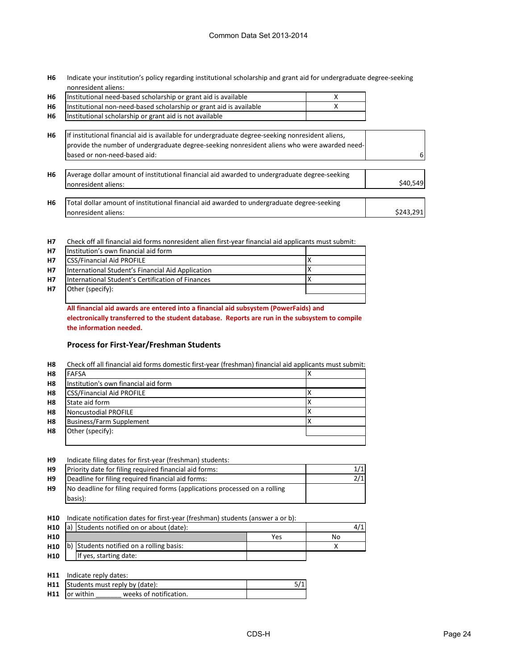**H6** Indicate your institution's policy regarding institutional scholarship and grant aid for undergraduate degree-seeking nonresident aliens:

|                | Institutional need-based scholarship or grant aid is available     |  |
|----------------|--------------------------------------------------------------------|--|
| <b>H6</b>      | Institutional non-need-based scholarship or grant aid is available |  |
| H <sub>6</sub> | Institutional scholarship or grant aid is not available            |  |

| <b>H6</b> | If institutional financial aid is available for undergraduate degree-seeking nonresident aliens, |  |
|-----------|--------------------------------------------------------------------------------------------------|--|
|           | provide the number of undergraduate degree-seeking nonresident aliens who were awarded need-     |  |
|           | based or non-need-based aid:                                                                     |  |

| H <sub>6</sub> | Average dollar amount of institutional financial aid awarded to undergraduate degree-seeking |          |
|----------------|----------------------------------------------------------------------------------------------|----------|
|                | Inonresident aliens:                                                                         | S40.549l |
|                |                                                                                              |          |

| H6 | Total dollar amount of institutional financial aid awarded to undergraduate degree-seeking |           |
|----|--------------------------------------------------------------------------------------------|-----------|
|    | Inonresident aliens:                                                                       | \$243,291 |

**H7** Check off all financial aid forms nonresident alien first-year financial aid applicants must submit:

| <b>H7</b>      | Institution's own financial aid form              |  |
|----------------|---------------------------------------------------|--|
| H <sub>7</sub> | <b>CSS/Financial Aid PROFILE</b>                  |  |
| <b>H7</b>      | International Student's Financial Aid Application |  |
| H <sub>7</sub> | International Student's Certification of Finances |  |
| <b>H7</b>      | Other (specify):                                  |  |
|                |                                                   |  |

**All financial aid awards are entered into a financial aid subsystem (PowerFaids) and electronically transferred to the student database. Reports are run in the subsystem to compile the information needed.** 

### **Process for First-Year/Freshman Students**

| H8             | Check off all financial aid forms domestic first-year (freshman) financial aid applicants must submit: |  |  |
|----------------|--------------------------------------------------------------------------------------------------------|--|--|
| H <sub>8</sub> | <b>FAFSA</b>                                                                                           |  |  |
| H <sub>8</sub> | Institution's own financial aid form                                                                   |  |  |
| H8             | <b>CSS/Financial Aid PROFILE</b>                                                                       |  |  |
| H8             | State aid form                                                                                         |  |  |
| H8             | Noncustodial PROFILE                                                                                   |  |  |
| H <sub>8</sub> | <b>Business/Farm Supplement</b>                                                                        |  |  |
| H8             | Other (specify):                                                                                       |  |  |
|                |                                                                                                        |  |  |

#### **H9** Indicate filing dates for first-year (freshman) students:

| H <sub>9</sub> | Priority date for filing required financial aid forms:                     |  |
|----------------|----------------------------------------------------------------------------|--|
| H <sub>9</sub> | Deadline for filing required financial aid forms:                          |  |
| H <sub>9</sub> | No deadline for filing required forms (applications processed on a rolling |  |
|                | basis):                                                                    |  |

**H10** Indicate notification dates for first-year (freshman) students (answer a or b):

| H <sub>10</sub> | a) Students notified on or about (date): |                                          |     | 4/1. |
|-----------------|------------------------------------------|------------------------------------------|-----|------|
| H <sub>10</sub> |                                          |                                          | Yes | No   |
| H10             |                                          | b) Students notified on a rolling basis: |     |      |
| H <sub>10</sub> |                                          | If yes, starting date:                   |     |      |

**H11** Indicate reply dates:

|                       | <b>H11</b> Students must reply by (date): |  |
|-----------------------|-------------------------------------------|--|
| <b>H11</b> lor within | weeks of notification.                    |  |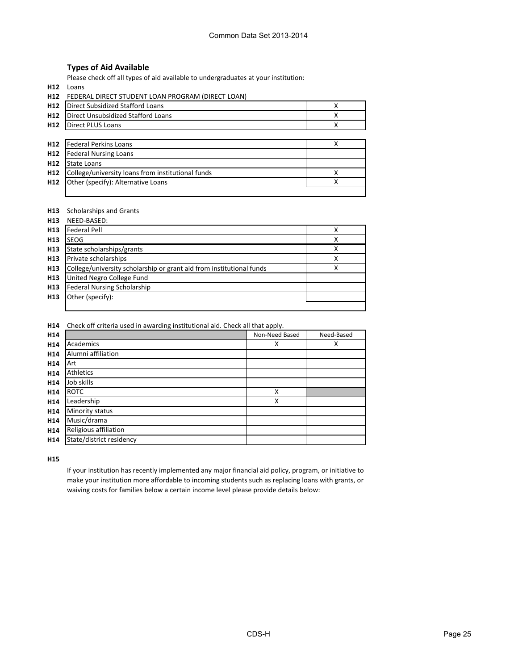### **Types of Aid Available**

Please check off all types of aid available to undergraduates at your institution:

**H12** Loans

**H12** FEDERAL DIRECT STUDENT LOAN PROGRAM (DIRECT LOAN) **H12** Direct Subsidized Stafford Loans **New York State State State State State State State State State State State State State State State State State State State State State State State State State State State State State H12** | Direct Unsubsidized Stafford Loans **National Community Community Community** Community Community Community Community Community Community Community Community Community Community Community Community Community Communit **H12** |Direct PLUS Loans **Matter PLUS Loans Community Community Community Community Community Community Community Community Community Community Community Community Community Community Community Community Community Commun H12** X Federal Perkins Loans **H12 H12 H12** X College/university loans from institutional funds **H12** Other (specify): Alternative Loans and all the set of the set of the set of the set of the set of the set o Federal Nursing Loans State Loans

#### **H13** Scholarships and Grants

| H <sub>13</sub> | NEED-BASED:                                                          |   |
|-----------------|----------------------------------------------------------------------|---|
| H <sub>13</sub> | <b>Federal Pell</b>                                                  | χ |
| H <sub>13</sub> | <b>SEOG</b>                                                          | x |
| H <sub>13</sub> | State scholarships/grants                                            | Χ |
| H <sub>13</sub> | Private scholarships                                                 | Χ |
| H <sub>13</sub> | College/university scholarship or grant aid from institutional funds | х |
| H <sub>13</sub> | United Negro College Fund                                            |   |
| H <sub>13</sub> | <b>Federal Nursing Scholarship</b>                                   |   |
| H <sub>13</sub> | Other (specify):                                                     |   |
|                 |                                                                      |   |

**H14** Check off criteria used in awarding institutional aid. Check all that apply.

| H <sub>14</sub> |                          | Non-Need Based | Need-Based |
|-----------------|--------------------------|----------------|------------|
| H14             | Academics                | X              | X          |
| H14             | Alumni affiliation       |                |            |
| H <sub>14</sub> | Art                      |                |            |
| H <sub>14</sub> | Athletics                |                |            |
| H14             | Job skills               |                |            |
| H <sub>14</sub> | <b>ROTC</b>              | X              |            |
| H14             | Leadership               | X              |            |
| H14             | Minority status          |                |            |
| H14             | Music/drama              |                |            |
| H14             | Religious affiliation    |                |            |
| H14             | State/district residency |                |            |

**H15**

If your institution has recently implemented any major financial aid policy, program, or initiative to make your institution more affordable to incoming students such as replacing loans with grants, or waiving costs for families below a certain income level please provide details below: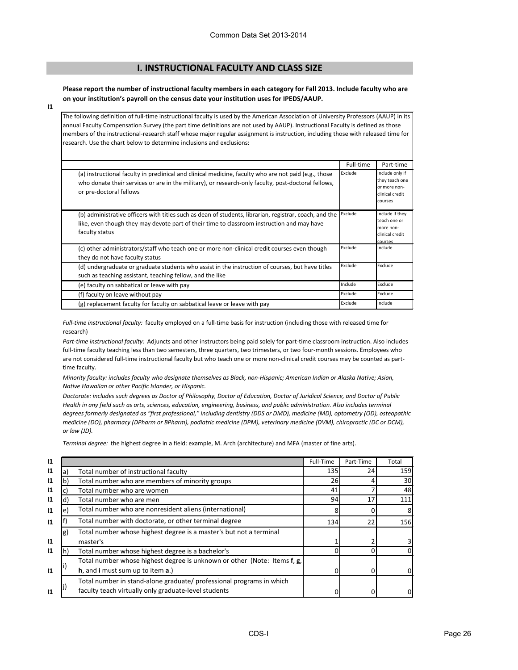# **I. INSTRUCTIONAL FACULTY AND CLASS SIZE**

#### **Please report the number of instructional faculty members in each category for Fall 2013. Include faculty who are on your institution's payroll on the census date your institution uses for IPEDS/AAUP.**

**I1**

The following definition of full-time instructional faculty is used by the American Association of University Professors (AAUP) in its annual Faculty Compensation Survey (the part time definitions are not used by AAUP). Instructional Faculty is defined as those members of the instructional-research staff whose major regular assignment is instruction, including those with released time for research. Use the chart below to determine inclusions and exclusions:

|                                                                                                                                                                                                                                         | Full-time | Part-time                                                                       |
|-----------------------------------------------------------------------------------------------------------------------------------------------------------------------------------------------------------------------------------------|-----------|---------------------------------------------------------------------------------|
| (a) instructional faculty in preclinical and clinical medicine, faculty who are not paid (e.g., those<br>who donate their services or are in the military), or research-only faculty, post-doctoral fellows,<br>or pre-doctoral fellows | Exclude   | Include only if<br>they teach one<br>or more non-<br>clinical credit<br>courses |
| (b) administrative officers with titles such as dean of students, librarian, registrar, coach, and the<br>like, even though they may devote part of their time to classroom instruction and may have<br>faculty status                  | Exclude   | Include if they<br>teach one or<br>more non-<br>clinical credit<br>courses      |
| (c) other administrators/staff who teach one or more non-clinical credit courses even though<br>they do not have faculty status                                                                                                         | Exclude   | Include                                                                         |
| (d) undergraduate or graduate students who assist in the instruction of courses, but have titles<br>such as teaching assistant, teaching fellow, and the like                                                                           | Exclude   | Exclude                                                                         |
| (e) faculty on sabbatical or leave with pay                                                                                                                                                                                             | Include   | Exclude                                                                         |
| (f) faculty on leave without pay                                                                                                                                                                                                        | Exclude   | Exclude                                                                         |
| (g) replacement faculty for faculty on sabbatical leave or leave with pay                                                                                                                                                               | Exclude   | Include                                                                         |

*Full-time instructional faculty:* faculty employed on a full-time basis for instruction (including those with released time for research)

*Part-time instructional faculty:* Adjuncts and other instructors being paid solely for part-time classroom instruction. Also includes full-time faculty teaching less than two semesters, three quarters, two trimesters, or two four-month sessions. Employees who are not considered full-time instructional faculty but who teach one or more non-clinical credit courses may be counted as parttime faculty.

*Minority faculty: includes faculty who designate themselves as Black, non-Hispanic; American Indian or Alaska Native; Asian, Native Hawaiian or other Pacific Islander, or Hispanic.* 

*Doctorate: includes such degrees as Doctor of Philosophy, Doctor of Education, Doctor of Juridical Science, and Doctor of Public Health in any field such as arts, sciences, education, engineering, business, and public administration. Also includes terminal degrees formerly designated as "first professional," including dentistry (DDS or DMD), medicine (MD), optometry (OD), osteopathic medicine (DO), pharmacy (DPharm or BPharm), podiatric medicine (DPM), veterinary medicine (DVM), chiropractic (DC or DCM), or law (JD).*

*Terminal degree:* the highest degree in a field: example, M. Arch (architecture) and MFA (master of fine arts).

| $\mathbf{11}$ |    |                                                                          | Full-Time | Part-Time | Total |
|---------------|----|--------------------------------------------------------------------------|-----------|-----------|-------|
| $\mathbf{11}$ | a) | Total number of instructional faculty                                    | 135       | 24        | 159   |
| $\mathbf{11}$ | b) | Total number who are members of minority groups                          | 26        |           | 30    |
| $\mathbf{11}$ |    | Total number who are women                                               | 41        |           | 48    |
| $\mathbf{11}$ | d) | Total number who are men                                                 | 94        | 17        | 111   |
| $\mathbf{11}$ | e. | Total number who are nonresident aliens (international)                  |           |           | 8     |
| $\mathbf{11}$ |    | Total number with doctorate, or other terminal degree                    | 134       | 22        | 156   |
|               | g) | Total number whose highest degree is a master's but not a terminal       |           |           |       |
| $\mathbf{11}$ |    | master's                                                                 |           |           |       |
| $\mathbf{11}$ |    | Total number whose highest degree is a bachelor's                        |           |           |       |
|               |    | Total number whose highest degree is unknown or other (Note: Items f, g, |           |           |       |
| 11            |    | h, and i must sum up to item a.)                                         |           |           | 0     |
|               |    | Total number in stand-alone graduate/ professional programs in which     |           |           |       |
| $\mathbf{11}$ |    | faculty teach virtually only graduate-level students                     |           |           |       |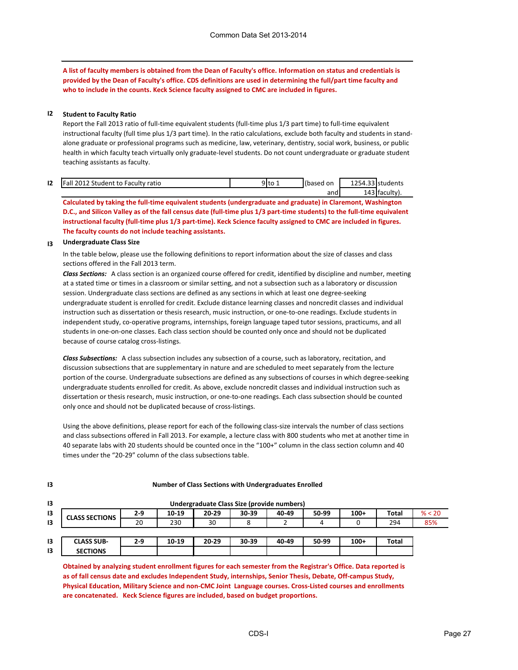**A list of faculty members is obtained from the Dean of Faculty's office. Information on status and credentials is provided by the Dean of Faculty's office. CDS definitions are used in determining the full/part time faculty and who to include in the counts. Keck Science faculty assigned to CMC are included in figures.**

#### **I2 Student to Faculty Ratio**

Report the Fall 2013 ratio of full-time equivalent students (full-time plus 1/3 part time) to full-time equivalent instructional faculty (full time plus 1/3 part time). In the ratio calculations, exclude both faculty and students in standalone graduate or professional programs such as medicine, law, veterinary, dentistry, social work, business, or public health in which faculty teach virtually only graduate-level students. Do not count undergraduate or graduate student teaching assistants as faculty.

| 12 | : Student to Faculty ratio<br>כוחי<br>all | 9 to 1 | Ilbased on | 1.254.22<br>1254.33 students |
|----|-------------------------------------------|--------|------------|------------------------------|
|    |                                           |        | and        | .                            |

**Calculated by taking the full-time equivalent students (undergraduate and graduate) in Claremont, Washington D.C., and Silicon Valley as of the fall census date (full-time plus 1/3 part-time students) to the full-time equivalent instructional faculty (full-time plus 1/3 part-time). Keck Science faculty assigned to CMC are included in figures. The faculty counts do not include teaching assistants.** 

#### **I3 Undergraduate Class Size**

**I3**

In the table below, please use the following definitions to report information about the size of classes and class sections offered in the Fall 2013 term.

*Class Sections:* A class section is an organized course offered for credit, identified by discipline and number, meeting at a stated time or times in a classroom or similar setting, and not a subsection such as a laboratory or discussion session. Undergraduate class sections are defined as any sections in which at least one degree-seeking undergraduate student is enrolled for credit. Exclude distance learning classes and noncredit classes and individual instruction such as dissertation or thesis research, music instruction, or one-to-one readings. Exclude students in independent study, co-operative programs, internships, foreign language taped tutor sessions, practicums, and all students in one-on-one classes. Each class section should be counted only once and should not be duplicated because of course catalog cross-listings.

*Class Subsections:* A class subsection includes any subsection of a course, such as laboratory, recitation, and discussion subsections that are supplementary in nature and are scheduled to meet separately from the lecture portion of the course. Undergraduate subsections are defined as any subsections of courses in which degree-seeking undergraduate students enrolled for credit. As above, exclude noncredit classes and individual instruction such as dissertation or thesis research, music instruction, or one-to-one readings. Each class subsection should be counted only once and should not be duplicated because of cross-listings.

Using the above definitions, please report for each of the following class-size intervals the number of class sections and class subsections offered in Fall 2013. For example, a lecture class with 800 students who met at another time in 40 separate labs with 20 students should be counted once in the "100+" column in the class section column and 40 times under the "20-29" column of the class subsections table.

| 13              |                       |       |       |           | Undergraduate Class Size (provide numbers) |       |       |        |              |        |
|-----------------|-----------------------|-------|-------|-----------|--------------------------------------------|-------|-------|--------|--------------|--------|
| 13              | <b>CLASS SECTIONS</b> | 2-9   | 10-19 | $20 - 29$ | 30-39                                      | 40-49 | 50-99 | $100+$ | Total        | % < 20 |
| $\overline{13}$ |                       | 20    | 230   | 30        | 8                                          |       |       |        | 294          | 85%    |
|                 |                       |       |       |           |                                            |       |       |        |              |        |
| 13              | <b>CLASS SUB-</b>     | $2-9$ | 10-19 | $20 - 29$ | 30-39                                      | 40-49 | 50-99 | $100+$ | <b>Total</b> |        |
| 13              | <b>SECTIONS</b>       |       |       |           |                                            |       |       |        |              |        |

#### **Number of Class Sections with Undergraduates Enrolled**

**Obtained by analyzing student enrollment figures for each semester from the Registrar's Office. Data reported is as of fall census date and excludes Independent Study, internships, Senior Thesis, Debate, Off-campus Study, Physical Education, Military Science and non-CMC Joint Language courses. Cross-Listed courses and enrollments are concatenated. Keck Science figures are included, based on budget proportions.**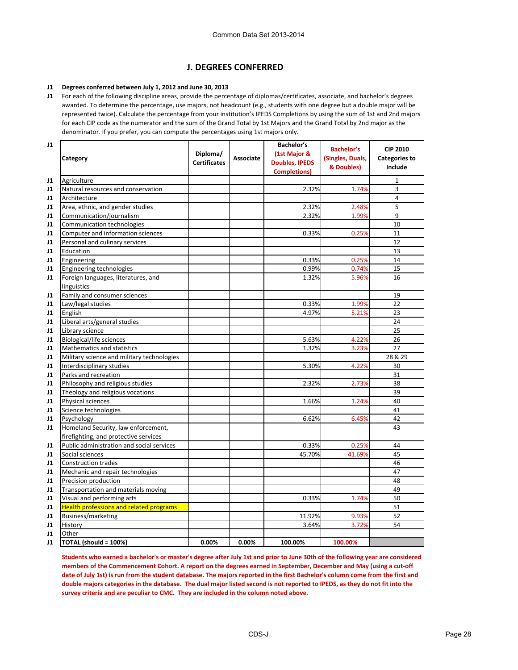# **J. DEGREES CONFERRED**

#### **J1 Degrees conferred between July 1, 2012 and June 30, 2013**

**J1** For each of the following discipline areas, provide the percentage of diplomas/certificates, associate, and bachelor's degrees awarded. To determine the percentage, use majors, not headcount (e.g., students with one degree but a double major will be represented twice). Calculate the percentage from your institution's IPEDS Completions by using the sum of 1st and 2nd majors for each CIP code as the numerator and the sum of the Grand Total by 1st Majors and the Grand Total by 2nd major as the denominator. If you prefer, you can compute the percentages using 1st majors only.

| J1             |                                                |                     |                  | <b>Bachelor's</b>     | <b>Bachelor's</b> | <b>CIP 2010</b>      |
|----------------|------------------------------------------------|---------------------|------------------|-----------------------|-------------------|----------------------|
|                |                                                | Diploma/            |                  | (1st Major &          |                   |                      |
|                | <b>Category</b>                                | <b>Certificates</b> | <b>Associate</b> | <b>Doubles, IPEDS</b> | (Singles, Duals,  | <b>Categories to</b> |
|                |                                                |                     |                  | <b>Completions)</b>   | & Doubles)        | Include              |
| J1             | Agriculture                                    |                     |                  |                       |                   | 1                    |
| J1             | Natural resources and conservation             |                     |                  | 2.32%                 | 1.74%             | 3                    |
| J1             | Architecture                                   |                     |                  |                       |                   | 4                    |
| J1             | Area, ethnic, and gender studies               |                     |                  | 2.32%                 | 2.48%             | 5                    |
| J1             | Communication/journalism                       |                     |                  | 2.32%                 | 1.99%             | 9                    |
| J1             | Communication technologies                     |                     |                  |                       |                   | 10                   |
| J1             | Computer and information sciences              |                     |                  | 0.33%                 | 0.25%             | 11                   |
| J1             | Personal and culinary services                 |                     |                  |                       |                   | 12                   |
| <b>J1</b>      | Education                                      |                     |                  |                       |                   | 13                   |
| J1             | Engineering                                    |                     |                  | 0.33%                 | 0.25%             | 14                   |
| <b>J1</b>      | Engineering technologies                       |                     |                  | 0.99%                 | 0.74%             | 15                   |
| <b>J1</b>      | Foreign languages, literatures, and            |                     |                  | 1.32%                 | 5.96%             | 16                   |
|                | linguistics                                    |                     |                  |                       |                   |                      |
| J1             | Family and consumer sciences                   |                     |                  |                       |                   | 19                   |
| <b>J1</b>      | Law/legal studies                              |                     |                  | 0.33%                 | 1.99%             | 22                   |
| J1             | English                                        |                     |                  | 4.97%                 | 5.21%             | 23                   |
| <b>J1</b>      | Liberal arts/general studies                   |                     |                  |                       |                   | 24                   |
| J1             | Library science                                |                     |                  |                       |                   | 25                   |
| J1             | <b>Biological/life sciences</b>                |                     |                  | 5.63%                 | 4.22%             | 26                   |
| J1             | Mathematics and statistics                     |                     |                  | 1.32%                 | 3.23%             | 27                   |
| J1             | Military science and military technologies     |                     |                  |                       |                   | 28 & 29              |
| J1             | Interdisciplinary studies                      |                     |                  | 5.30%                 | 4.22%             | 30                   |
| J1             | Parks and recreation                           |                     |                  |                       |                   | 31                   |
| J1             | Philosophy and religious studies               |                     |                  | 2.32%                 | 2.73%             | 38                   |
| <b>J1</b>      | Theology and religious vocations               |                     |                  |                       |                   | 39                   |
| J1             | Physical sciences                              |                     |                  | 1.66%                 | 1.24%             | 40                   |
| <b>J1</b>      | Science technologies                           |                     |                  |                       |                   | 41                   |
| J1             | Psychology                                     |                     |                  | 6.62%                 | 6.45%             | 42                   |
| <b>J1</b>      | Homeland Security, law enforcement,            |                     |                  |                       |                   | 43                   |
|                | firefighting, and protective services          |                     |                  |                       |                   |                      |
| J1             | Public administration and social services      |                     |                  | 0.33%                 | 0.25%             | 44                   |
| J <sub>1</sub> | Social sciences                                |                     |                  | 45.70%                | 41.69%            | 45                   |
| J1             | <b>Construction trades</b>                     |                     |                  |                       |                   | 46                   |
| J1             | Mechanic and repair technologies               |                     |                  |                       |                   | 47                   |
| J1             | Precision production                           |                     |                  |                       |                   | 48                   |
| J1             | Transportation and materials moving            |                     |                  |                       |                   | 49                   |
| J1             | Visual and performing arts                     |                     |                  | 0.33%                 | 1.74%             | 50                   |
| J1             | <b>Health professions and related programs</b> |                     |                  |                       |                   | 51                   |
| J1             | Business/marketing                             |                     |                  | 11.92%                | 9.93%             | 52                   |
| J1             | History                                        |                     |                  | 3.64%                 | 3.72%             | 54                   |
| J1             | Other                                          |                     |                  |                       |                   |                      |
| J1             | TOTAL (should = 100%)                          | 0.00%               | 0.00%            | 100.00%               | 100.00%           |                      |

**Students who earned a bachelor's or master's degree after July 1st and prior to June 30th of the following year are considered members of the Commencement Cohort. A report on the degrees earned in September, December and May (using a cut-off date of July 1st) is run from the student database. The majors reported in the first Bachelor's column come from the first and double majors categories in the database. The dual major listed second is not reported to IPEDS, as they do not fit into the survey criteria and are peculiar to CMC. They are included in the column noted above.**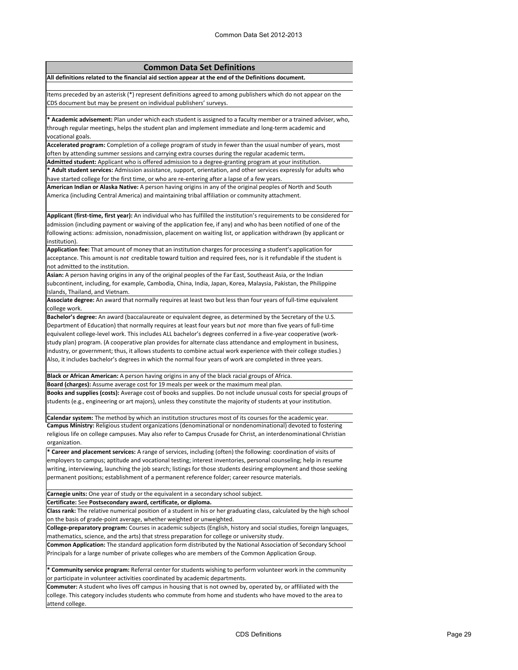# **Common Data Set Definitions**

**All definitions related to the financial aid section appear at the end of the Definitions document.**

Items preceded by an asterisk (\*) represent definitions agreed to among publishers which do not appear on the CDS document but may be present on individual publishers' surveys.

**\* Academic advisement:** Plan under which each student is assigned to a faculty member or a trained adviser, who, through regular meetings, helps the student plan and implement immediate and long-term academic and vocational goals.

**Accelerated program:** Completion of a college program of study in fewer than the usual number of years, most often by attending summer sessions and carrying extra courses during the regular academic term**.**

**Admitted student:** Applicant who is offered admission to a degree-granting program at your institution. **\* Adult student services:** Admission assistance, support, orientation, and other services expressly for adults who have started college for the first time, or who are re-entering after a lapse of a few years.

**American Indian or Alaska Native:** A person having origins in any of the original peoples of North and South America (including Central America) and maintaining tribal affiliation or community attachment.

**Applicant (first-time, first year):** An individual who has fulfilled the institution's requirements to be considered for admission (including payment or waiving of the application fee, if any) and who has been notified of one of the following actions: admission, nonadmission, placement on waiting list, or application withdrawn (by applicant or institution).

**Application fee:** That amount of money that an institution charges for processing a student's application for acceptance. This amount is *not* creditable toward tuition and required fees, nor is it refundable if the student is not admitted to the institution.

**Asian:** A person having origins in any of the original peoples of the Far East, Southeast Asia, or the Indian subcontinent, including, for example, Cambodia, China, India, Japan, Korea, Malaysia, Pakistan, the Philippine Islands, Thailand, and Vietnam.

**Associate degree:** An award that normally requires at least two but less than four years of full-time equivalent college work.

**Bachelor's degree:** An award (baccalaureate or equivalent degree, as determined by the Secretary of the U.S. Department of Education) that normally requires at least four years but *not* more than five years of full-time equivalent college-level work. This includes ALL bachelor's degrees conferred in a five-year cooperative (workstudy plan) program. (A cooperative plan provides for alternate class attendance and employment in business, industry, or government; thus, it allows students to combine actual work experience with their college studies.) Also, it includes bachelor's degrees in which the normal four years of work are completed in three years.

**Black or African American:** A person having origins in any of the black racial groups of Africa.

**Board (charges):** Assume average cost for 19 meals per week or the maximum meal plan. **Books and supplies (costs):** Average cost of books and supplies. Do not include unusual costs for special groups of students (e.g., engineering or art majors), unless they constitute the majority of students at your institution.

**Calendar system:** The method by which an institution structures most of its courses for the academic year. **Campus Ministry:** Religious student organizations (denominational or nondenominational) devoted to fostering religious life on college campuses. May also refer to Campus Crusade for Christ, an interdenominational Christian organization.

**\* Career and placement services:** A range of services, including (often) the following: coordination of visits of employers to campus; aptitude and vocational testing; interest inventories, personal counseling; help in resume writing, interviewing, launching the job search; listings for those students desiring employment and those seeking permanent positions; establishment of a permanent reference folder; career resource materials.

**Carnegie units:** One year of study or the equivalent in a secondary school subject.

**Certificate:** See **Postsecondary award, certificate, or diploma.**

**Class rank:** The relative numerical position of a student in his or her graduating class, calculated by the high school on the basis of grade-point average, whether weighted or unweighted.

**College-preparatory program:** Courses in academic subjects (English, history and social studies, foreign languages, mathematics, science, and the arts) that stress preparation for college or university study.

**Common Application:** The standard application form distributed by the National Association of Secondary School Principals for a large number of private colleges who are members of the Common Application Group.

**\* Community service program:** Referral center for students wishing to perform volunteer work in the community or participate in volunteer activities coordinated by academic departments.

**Commuter:** A student who lives off campus in housing that is not owned by, operated by, or affiliated with the college. This category includes students who commute from home and students who have moved to the area to attend college.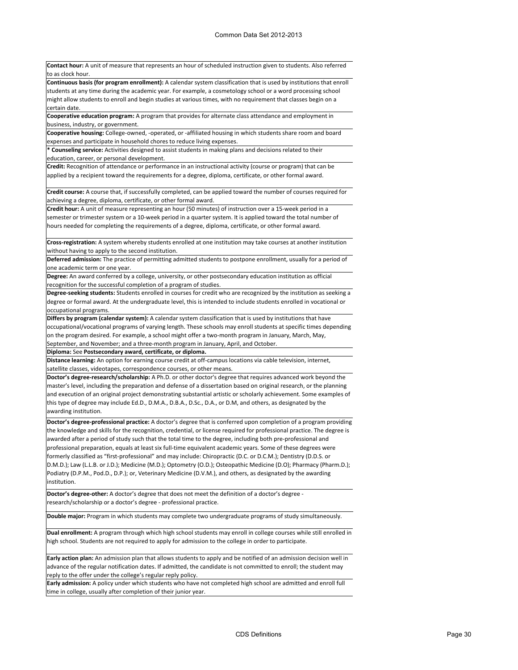**Contact hour:** A unit of measure that represents an hour of scheduled instruction given to students. Also referred to as clock hour. **Continuous basis (for program enrollment):** A calendar system classification that is used by institutions that enroll students at any time during the academic year. For example, a cosmetology school or a word processing school might allow students to enroll and begin studies at various times, with no requirement that classes begin on a certain date. **Cooperative education program:** A program that provides for alternate class attendance and employment in business, industry, or government. **Cooperative housing:** College-owned, -operated, or -affiliated housing in which students share room and board expenses and participate in household chores to reduce living expenses. **\* Counseling service:** Activities designed to assist students in making plans and decisions related to their education, career, or personal development. **Credit:** Recognition of attendance or performance in an instructional activity (course or program) that can be applied by a recipient toward the requirements for a degree, diploma, certificate, or other formal award. **Credit course:** A course that, if successfully completed, can be applied toward the number of courses required for achieving a degree, diploma, certificate, or other formal award. **Credit hour:** A unit of measure representing an hour (50 minutes) of instruction over a 15-week period in a semester or trimester system or a 10-week period in a quarter system. It is applied toward the total number of hours needed for completing the requirements of a degree, diploma, certificate, or other formal award. **Cross-registration:** A system whereby students enrolled at one institution may take courses at another institution without having to apply to the second institution. **Deferred admission:** The practice of permitting admitted students to postpone enrollment, usually for a period of one academic term or one year. **Degree:** An award conferred by a college, university, or other postsecondary education institution as official recognition for the successful completion of a program of studies. **Degree-seeking students:** Students enrolled in courses for credit who are recognized by the institution as seeking a degree or formal award. At the undergraduate level, this is intended to include students enrolled in vocational or occupational programs. **Differs by program (calendar system):** A calendar system classification that is used by institutions that have occupational/vocational programs of varying length. These schools may enroll students at specific times depending on the program desired. For example, a school might offer a two-month program in January, March, May, September, and November; and a three-month program in January, April, and October. **Diploma:** See **Postsecondary award, certificate, or diploma. Distance learning:** An option for earning course credit at off-campus locations via cable television, internet, satellite classes, videotapes, correspondence courses, or other means. **Doctor's degree-research/scholarship:** A Ph.D. or other doctor's degree that requires advanced work beyond the master's level, including the preparation and defense of a dissertation based on original research, or the planning and execution of an original project demonstrating substantial artistic or scholarly achievement. Some examples of this type of degree may include Ed.D., D.M.A., D.B.A., D.Sc., D.A., or D.M, and others, as designated by the awarding institution. **Doctor's degree-professional practice:** A doctor's degree that is conferred upon completion of a program providing the knowledge and skills for the recognition, credential, or license required for professional practice. The degree is awarded after a period of study such that the total time to the degree, including both pre-professional and professional preparation, equals at least six full-time equivalent academic years. Some of these degrees were formerly classified as "first-professional" and may include: Chiropractic (D.C. or D.C.M.); Dentistry (D.D.S. or D.M.D.); Law (L.L.B. or J.D.); Medicine (M.D.); Optometry (O.D.); Osteopathic Medicine (D.O); Pharmacy (Pharm.D.); Podiatry (D.P.M., Pod.D., D.P.); or, Veterinary Medicine (D.V.M.), and others, as designated by the awarding institution. **Doctor's degree-other:** A doctor's degree that does not meet the definition of a doctor's degree research/scholarship or a doctor's degree - professional practice. **Double major:** Program in which students may complete two undergraduate programs of study simultaneously.

**Dual enrollment:** A program through which high school students may enroll in college courses while still enrolled in high school. Students are not required to apply for admission to the college in order to participate.

**Early action plan:** An admission plan that allows students to apply and be notified of an admission decision well in advance of the regular notification dates. If admitted, the candidate is not committed to enroll; the student may reply to the offer under the college's regular reply policy.

**Early admission:** A policy under which students who have not completed high school are admitted and enroll full time in college, usually after completion of their junior year.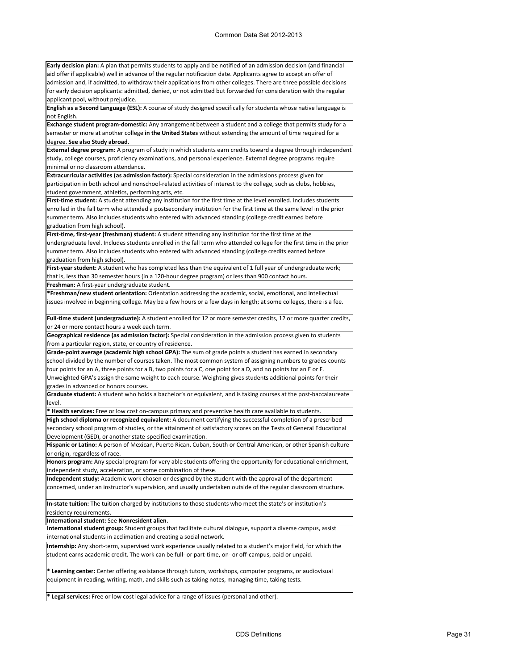**Early decision plan:** A plan that permits students to apply and be notified of an admission decision (and financial aid offer if applicable) well in advance of the regular notification date. Applicants agree to accept an offer of admission and, if admitted, to withdraw their applications from other colleges. There are three possible decisions for early decision applicants: admitted, denied, or not admitted but forwarded for consideration with the regular applicant pool, without prejudice.

**English as a Second Language (ESL):** A course of study designed specifically for students whose native language is not English.

**Exchange student program-domestic:** Any arrangement between a student and a college that permits study for a semester or more at another college **in the United States** without extending the amount of time required for a degree. **See also Study abroad**.

**External degree program:** A program of study in which students earn credits toward a degree through independent study, college courses, proficiency examinations, and personal experience. External degree programs require minimal or no classroom attendance.

**Extracurricular activities (as admission factor):** Special consideration in the admissions process given for participation in both school and nonschool-related activities of interest to the college, such as clubs, hobbies, student government, athletics, performing arts, etc.

**First-time student:** A student attending any institution for the first time at the level enrolled. Includes students enrolled in the fall term who attended a postsecondary institution for the first time at the same level in the prior summer term. Also includes students who entered with advanced standing (college credit earned before graduation from high school).

**First-time, first-year (freshman) student:** A student attending any institution for the first time at the undergraduate level. Includes students enrolled in the fall term who attended college for the first time in the prior summer term. Also includes students who entered with advanced standing (college credits earned before graduation from high school).

**First-year student:** A student who has completed less than the equivalent of 1 full year of undergraduate work; that is, less than 30 semester hours (in a 120-hour degree program) or less than 900 contact hours.

**Freshman:** A first-year undergraduate student.

**\*Freshman/new student orientation:** Orientation addressing the academic, social, emotional, and intellectual issues involved in beginning college. May be a few hours or a few days in length; at some colleges, there is a fee.

**Full-time student (undergraduate):** A student enrolled for 12 or more semester credits, 12 or more quarter credits, or 24 or more contact hours a week each term.

**Geographical residence (as admission factor):** Special consideration in the admission process given to students from a particular region, state, or country of residence.

**Grade-point average (academic high school GPA):** The sum of grade points a student has earned in secondary school divided by the number of courses taken. The most common system of assigning numbers to grades counts four points for an A, three points for a B, two points for a C, one point for a D, and no points for an E or F. Unweighted GPA's assign the same weight to each course. Weighting gives students additional points for their grades in advanced or honors courses.

**Graduate student:** A student who holds a bachelor's or equivalent, and is taking courses at the post-baccalaureate level.

**\* Health services:** Free or low cost on-campus primary and preventive health care available to students.

**High school diploma or recognized equivalent:** A document certifying the successful completion of a prescribed secondary school program of studies, or the attainment of satisfactory scores on the Tests of General Educational Development (GED), or another state-specified examination.

**Hispanic or Latino:** A person of Mexican, Puerto Rican, Cuban, South or Central American, or other Spanish culture or origin, regardless of race.

**Honors program:** Any special program for very able students offering the opportunity for educational enrichment, independent study, acceleration, or some combination of these.

**Independent study:** Academic work chosen or designed by the student with the approval of the department concerned, under an instructor's supervision, and usually undertaken outside of the regular classroom structure.

**In-state tuition:** The tuition charged by institutions to those students who meet the state's or institution's residency requirements.

**International student:** See **Nonresident alien.**

**International student group:** Student groups that facilitate cultural dialogue, support a diverse campus, assist international students in acclimation and creating a social network.

**Internship:** Any short-term, supervised work experience usually related to a student's major field, for which the student earns academic credit. The work can be full- or part-time, on- or off-campus, paid or unpaid.

**\* Learning center:** Center offering assistance through tutors, workshops, computer programs, or audiovisual equipment in reading, writing, math, and skills such as taking notes, managing time, taking tests.

**\* Legal services:** Free or low cost legal advice for a range of issues (personal and other).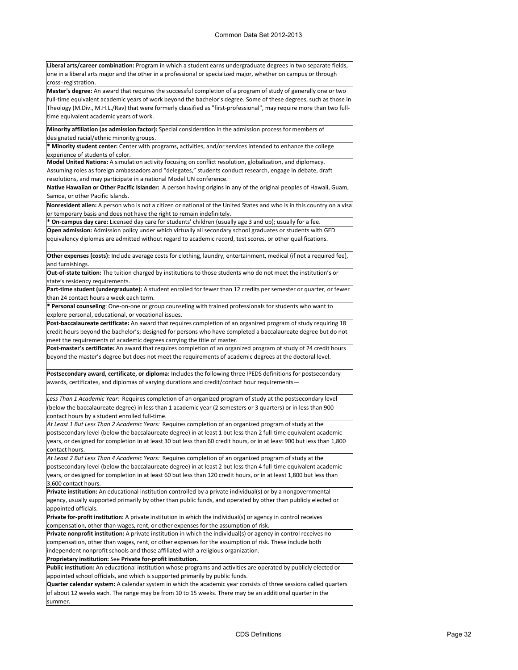**Liberal arts/career combination:** Program in which a student earns undergraduate degrees in two separate fields, one in a liberal arts major and the other in a professional or specialized major, whether on campus or through cross‑registration.

**Master's degree:** An award that requires the successful completion of a program of study of generally one or two full-time equivalent academic years of work beyond the bachelor's degree. Some of these degrees, such as those in Theology (M.Div., M.H.L./Rav) that were formerly classified as "first-professional", may require more than two fulltime equivalent academic years of work.

**Minority affiliation (as admission factor):** Special consideration in the admission process for members of designated racial/ethnic minority groups.

**\* Minority student center:** Center with programs, activities, and/or services intended to enhance the college experience of students of color.

**Model United Nations:** A simulation activity focusing on conflict resolution, globalization, and diplomacy. Assuming roles as foreign ambassadors and "delegates," students conduct research, engage in debate, draft resolutions, and may participate in a national Model UN conference.

**Native Hawaiian or Other Pacific Islander:** A person having origins in any of the original peoples of Hawaii, Guam, Samoa, or other Pacific Islands.

**Nonresident alien:** A person who is not a citizen or national of the United States and who is in this country on a visa or temporary basis and does not have the right to remain indefinitely.

**\* On-campus day care:** Licensed day care for students' children (usually age 3 and up); usually for a fee.

**Open admission:** Admission policy under which virtually all secondary school graduates or students with GED equivalency diplomas are admitted without regard to academic record, test scores, or other qualifications.

**Other expenses (costs):** Include average costs for clothing, laundry, entertainment, medical (if not a required fee), and furnishings.

**Out-of-state tuition:** The tuition charged by institutions to those students who do not meet the institution's or state's residency requirements.

**Part-time student (undergraduate):** A student enrolled for fewer than 12 credits per semester or quarter, or fewer than 24 contact hours a week each term.

**\* Personal counseling**: One-on-one or group counseling with trained professionals for students who want to explore personal, educational, or vocational issues.

**Post-baccalaureate certificate:** An award that requires completion of an organized program of study requiring 18 credit hours beyond the bachelor's; designed for persons who have completed a baccalaureate degree but do not meet the requirements of academic degrees carrying the title of master.

**Post-master's certificate:** An award that requires completion of an organized program of study of 24 credit hours beyond the master's degree but does not meet the requirements of academic degrees at the doctoral level.

**Postsecondary award, certificate, or diploma:** Includes the following three IPEDS definitions for postsecondary awards, certificates, and diplomas of varying durations and credit/contact hour requirements—

*Less Than 1 Academic Year:* Requires completion of an organized program of study at the postsecondary level (below the baccalaureate degree) in less than 1 academic year (2 semesters or 3 quarters) or in less than 900 contact hours by a student enrolled full-time.

*At Least 1 But Less Than 2 Academic Years:* Requires completion of an organized program of study at the postsecondary level (below the baccalaureate degree) in at least 1 but less than 2 full-time equivalent academic years, or designed for completion in at least 30 but less than 60 credit hours, or in at least 900 but less than 1,800 contact hours.

*At Least 2 But Less Than 4 Academic Years:* Requires completion of an organized program of study at the postsecondary level (below the baccalaureate degree) in at least 2 but less than 4 full-time equivalent academic years, or designed for completion in at least 60 but less than 120 credit hours, or in at least 1,800 but less than 3,600 contact hours.

**Private institution:** An educational institution controlled by a private individual(s) or by a nongovernmental agency, usually supported primarily by other than public funds, and operated by other than publicly elected or appointed officials.

**Private for-profit institution:** A private institution in which the individual(s) or agency in control receives compensation, other than wages, rent, or other expenses for the assumption of risk.

**Private nonprofit institution:** A private institution in which the individual(s) or agency in control receives no compensation, other than wages, rent, or other expenses for the assumption of risk. These include both independent nonprofit schools and those affiliated with a religious organization.

**Proprietary institution:** See **Private for-profit institution.**

**Public institution:** An educational institution whose programs and activities are operated by publicly elected or appointed school officials, and which is supported primarily by public funds.

**Quarter calendar system:** A calendar system in which the academic year consists of three sessions called quarters of about 12 weeks each. The range may be from 10 to 15 weeks. There may be an additional quarter in the summer.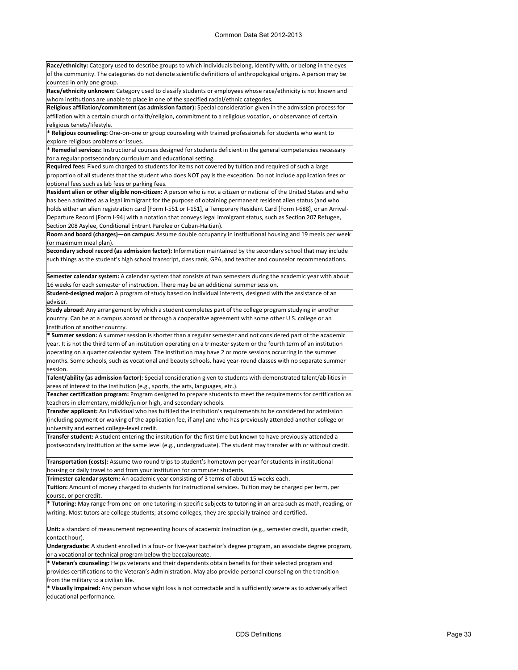**Race/ethnicity:** Category used to describe groups to which individuals belong, identify with, or belong in the eyes of the community. The categories do not denote scientific definitions of anthropological origins. A person may be counted in only one group. **Race/ethnicity unknown:** Category used to classify students or employees whose race/ethnicity is not known and whom institutions are unable to place in one of the specified racial/ethnic categories. **Religious affiliation/commitment (as admission factor):** Special consideration given in the admission process for affiliation with a certain church or faith/religion, commitment to a religious vocation, or observance of certain religious tenets/lifestyle. **\* Religious counseling:** One-on-one or group counseling with trained professionals for students who want to explore religious problems or issues. **\* Remedial services:** Instructional courses designed for students deficient in the general competencies necessary for a regular postsecondary curriculum and educational setting. **Required fees:** Fixed sum charged to students for items not covered by tuition and required of such a large proportion of all students that the student who does NOT pay is the exception. Do not include application fees or optional fees such as lab fees or parking fees. **Resident alien or other eligible non-citizen:** A person who is not a citizen or national of the United States and who has been admitted as a legal immigrant for the purpose of obtaining permanent resident alien status (and who holds either an alien registration card [Form I-551 or I-151], a Temporary Resident Card [Form I-688], or an Arrival-Departure Record [Form I-94] with a notation that conveys legal immigrant status, such as Section 207 Refugee, Section 208 Asylee, Conditional Entrant Parolee or Cuban-Haitian). **Room and board (charges)—on campus:** Assume double occupancy in institutional housing and 19 meals per week (or maximum meal plan). **Secondary school record (as admission factor):** Information maintained by the secondary school that may include such things as the student's high school transcript, class rank, GPA, and teacher and counselor recommendations. **Semester calendar system:** A calendar system that consists of two semesters during the academic year with about 16 weeks for each semester of instruction. There may be an additional summer session. **Student-designed major:** A program of study based on individual interests, designed with the assistance of an adviser. **Study abroad:** Any arrangement by which a student completes part of the college program studying in another country. Can be at a campus abroad or through a cooperative agreement with some other U.S. college or an institution of another country. **\* Summer session:** A summer session is shorter than a regular semester and not considered part of the academic year. It is not the third term of an institution operating on a trimester system or the fourth term of an institution operating on a quarter calendar system. The institution may have 2 or more sessions occurring in the summer months. Some schools, such as vocational and beauty schools, have year-round classes with no separate summer session. **Talent/ability (as admission factor):** Special consideration given to students with demonstrated talent/abilities in areas of interest to the institution (e.g., sports, the arts, languages, etc.). **Teacher certification program:** Program designed to prepare students to meet the requirements for certification as teachers in elementary, middle/junior high, and secondary schools. **Transfer applicant:** An individual who has fulfilled the institution's requirements to be considered for admission (including payment or waiving of the application fee, if any) and who has previously attended another college or university and earned college-level credit. **Transfer student:** A student entering the institution for the first time but known to have previously attended a postsecondary institution at the same level (e.g., undergraduate). The student may transfer with or without credit. **Transportation (costs):** Assume two round trips to student's hometown per year for students in institutional housing or daily travel to and from your institution for commuter students. **Trimester calendar system:** An academic year consisting of 3 terms of about 15 weeks each. **Tuition:** Amount of money charged to students for instructional services. Tuition may be charged per term, per course, or per credit. **\* Tutoring:** May range from one-on-one tutoring in specific subjects to tutoring in an area such as math, reading, or writing. Most tutors are college students; at some colleges, they are specially trained and certified. **Unit:** a standard of measurement representing hours of academic instruction (e.g., semester credit, quarter credit, contact hour). **Undergraduate:** A student enrolled in a four- or five-year bachelor's degree program, an associate degree program, or a vocational or technical program below the baccalaureate. **\* Veteran's counseling:** Helps veterans and their dependents obtain benefits for their selected program and provides certifications to the Veteran's Administration. May also provide personal counseling on the transition from the military to a civilian life. **\* Visually impaired:** Any person whose sight loss is not correctable and is sufficiently severe as to adversely affect educational performance.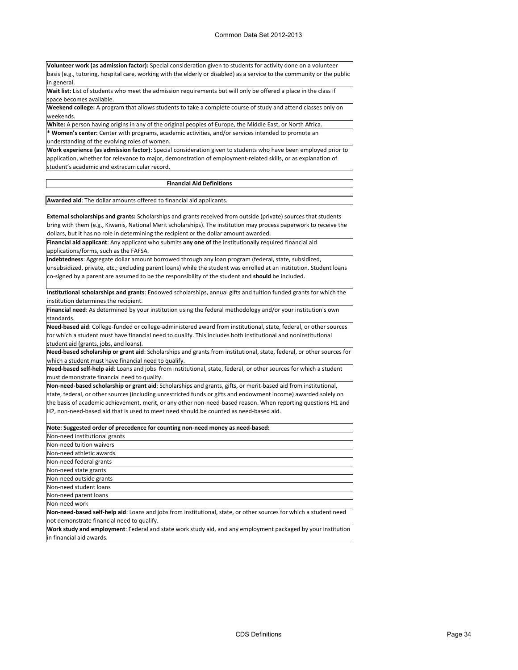**Volunteer work (as admission factor):** Special consideration given to students for activity done on a volunteer basis (e.g., tutoring, hospital care, working with the elderly or disabled) as a service to the community or the public in general.

**Wait list:** List of students who meet the admission requirements but will only be offered a place in the class if space becomes available.

**Weekend college:** A program that allows students to take a complete course of study and attend classes only on weekends.

**White:** A person having origins in any of the original peoples of Europe, the Middle East, or North Africa. **\* Women's center:** Center with programs, academic activities, and/or services intended to promote an

understanding of the evolving roles of women.

**Work experience (as admission factor):** Special consideration given to students who have been employed prior to application, whether for relevance to major, demonstration of employment-related skills, or as explanation of student's academic and extracurricular record.

#### **Financial Aid Definitions**

**Awarded aid**: The dollar amounts offered to financial aid applicants.

**External scholarships and grants:** Scholarships and grants received from outside (private) sources that students bring with them (e.g., Kiwanis, National Merit scholarships). The institution may process paperwork to receive the dollars, but it has no role in determining the recipient or the dollar amount awarded.

**Financial aid applicant**: Any applicant who submits **any one of** the institutionally required financial aid applications/forms, such as the FAFSA.

**Indebtedness**: Aggregate dollar amount borrowed through any loan program (federal, state, subsidized, unsubsidized, private, etc.; excluding parent loans) while the student was enrolled at an institution. Student loans co-signed by a parent are assumed to be the responsibility of the student and **should** be included.

**Institutional scholarships and grants**: Endowed scholarships, annual gifts and tuition funded grants for which the institution determines the recipient.

**Financial need**: As determined by your institution using the federal methodology and/or your institution's own standards.

**Need-based aid**: College-funded or college-administered award from institutional, state, federal, or other sources for which a student must have financial need to qualify. This includes both institutional and noninstitutional student aid (grants, jobs, and loans).

**Need-based scholarship or grant aid**: Scholarships and grants from institutional, state, federal, or other sources for which a student must have financial need to qualify.

**Need-based self-help aid**: Loans and jobs from institutional, state, federal, or other sources for which a student must demonstrate financial need to qualify.

**Non-need-based scholarship or grant aid**: Scholarships and grants, gifts, or merit-based aid from institutional, state, federal, or other sources (including unrestricted funds or gifts and endowment income) awarded solely on the basis of academic achievement, merit, or any other non-need-based reason. When reporting questions H1 and H2, non-need-based aid that is used to meet need should be counted as need-based aid.

| Note: Suggested order of precedence for counting non-need money as need-based:                                    |  |  |
|-------------------------------------------------------------------------------------------------------------------|--|--|
| Non-need institutional grants                                                                                     |  |  |
| Non-need tuition waivers                                                                                          |  |  |
| Non-need athletic awards                                                                                          |  |  |
| Non-need federal grants                                                                                           |  |  |
| Non-need state grants                                                                                             |  |  |
| Non-need outside grants                                                                                           |  |  |
| Non-need student loans                                                                                            |  |  |
| Non-need parent loans                                                                                             |  |  |
| Non-need work                                                                                                     |  |  |
| Non-need-based self-help aid: Loans and jobs from institutional, state, or other sources for which a student need |  |  |
| not demonstrate financial need to qualify.                                                                        |  |  |

**Work study and employment**: Federal and state work study aid, and any employment packaged by your institution in financial aid awards.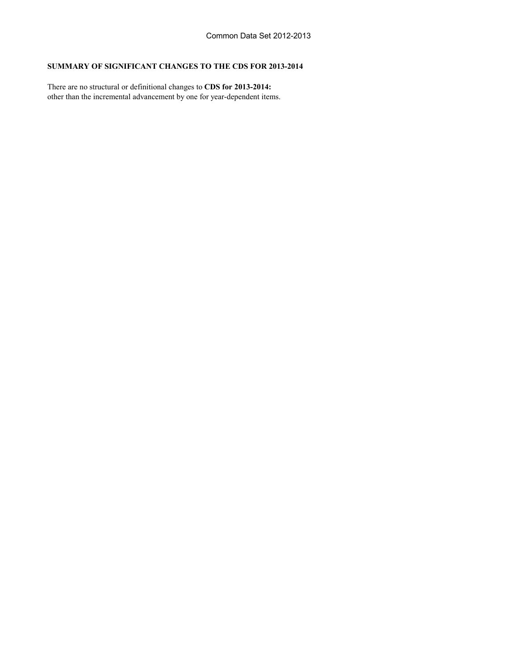#### **SUMMARY OF SIGNIFICANT CHANGES TO THE CDS FOR 2013-2014**

other than the incremental advancement by one for year-dependent items. There are no structural or definitional changes to **CDS for 2013-2014:**